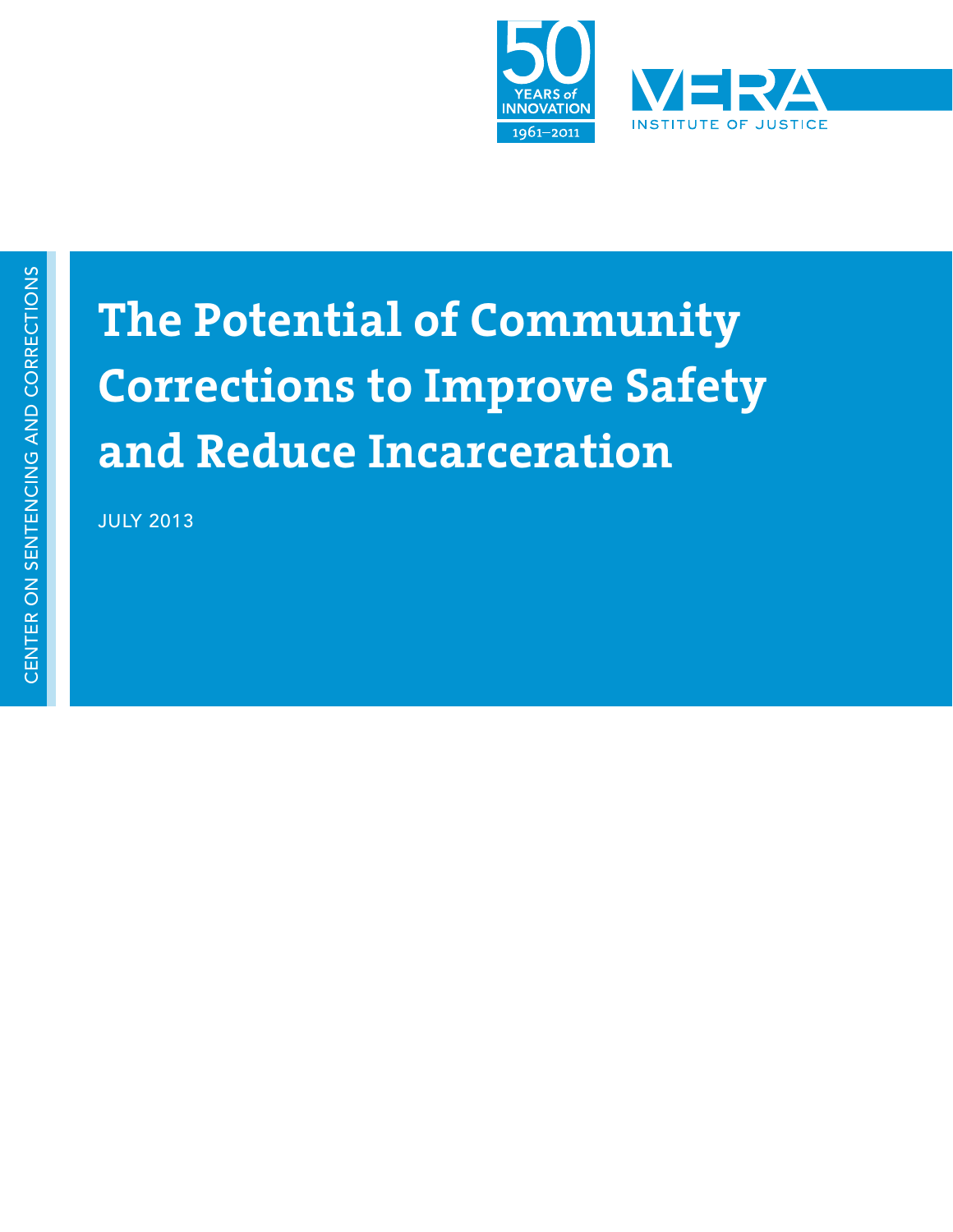

# **The Potential of Community Corrections to Improve Safety and Reduce Incarceration**

JULY 2013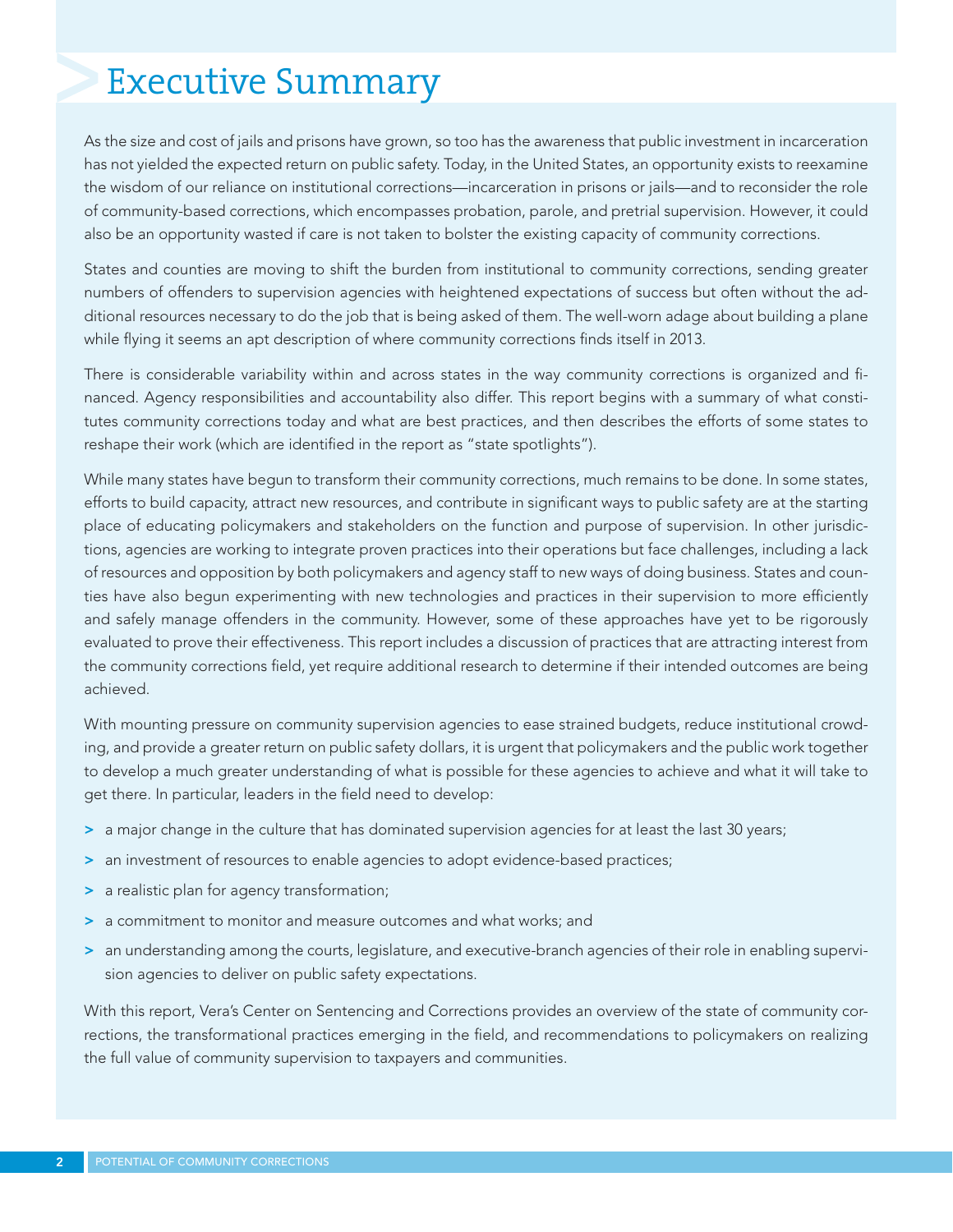### Executive Summary

As the size and cost of jails and prisons have grown, so too has the awareness that public investment in incarceration has not yielded the expected return on public safety. Today, in the United States, an opportunity exists to reexamine the wisdom of our reliance on institutional corrections—incarceration in prisons or jails—and to reconsider the role of community-based corrections, which encompasses probation, parole, and pretrial supervision. However, it could also be an opportunity wasted if care is not taken to bolster the existing capacity of community corrections.

States and counties are moving to shift the burden from institutional to community corrections, sending greater numbers of offenders to supervision agencies with heightened expectations of success but often without the additional resources necessary to do the job that is being asked of them. The well-worn adage about building a plane while flying it seems an apt description of where community corrections finds itself in 2013.

There is considerable variability within and across states in the way community corrections is organized and financed. Agency responsibilities and accountability also differ. This report begins with a summary of what constitutes community corrections today and what are best practices, and then describes the efforts of some states to reshape their work (which are identified in the report as "state spotlights").

While many states have begun to transform their community corrections, much remains to be done. In some states, efforts to build capacity, attract new resources, and contribute in significant ways to public safety are at the starting place of educating policymakers and stakeholders on the function and purpose of supervision. In other jurisdictions, agencies are working to integrate proven practices into their operations but face challenges, including a lack of resources and opposition by both policymakers and agency staff to new ways of doing business. States and counties have also begun experimenting with new technologies and practices in their supervision to more efficiently and safely manage offenders in the community. However, some of these approaches have yet to be rigorously evaluated to prove their effectiveness. This report includes a discussion of practices that are attracting interest from the community corrections field, yet require additional research to determine if their intended outcomes are being achieved.

With mounting pressure on community supervision agencies to ease strained budgets, reduce institutional crowding, and provide a greater return on public safety dollars, it is urgent that policymakers and the public work together to develop a much greater understanding of what is possible for these agencies to achieve and what it will take to get there. In particular, leaders in the field need to develop:

- > a major change in the culture that has dominated supervision agencies for at least the last 30 years;
- > an investment of resources to enable agencies to adopt evidence-based practices;
- > a realistic plan for agency transformation;
- > a commitment to monitor and measure outcomes and what works; and
- > an understanding among the courts, legislature, and executive-branch agencies of their role in enabling supervision agencies to deliver on public safety expectations.

With this report, Vera's Center on Sentencing and Corrections provides an overview of the state of community corrections, the transformational practices emerging in the field, and recommendations to policymakers on realizing the full value of community supervision to taxpayers and communities.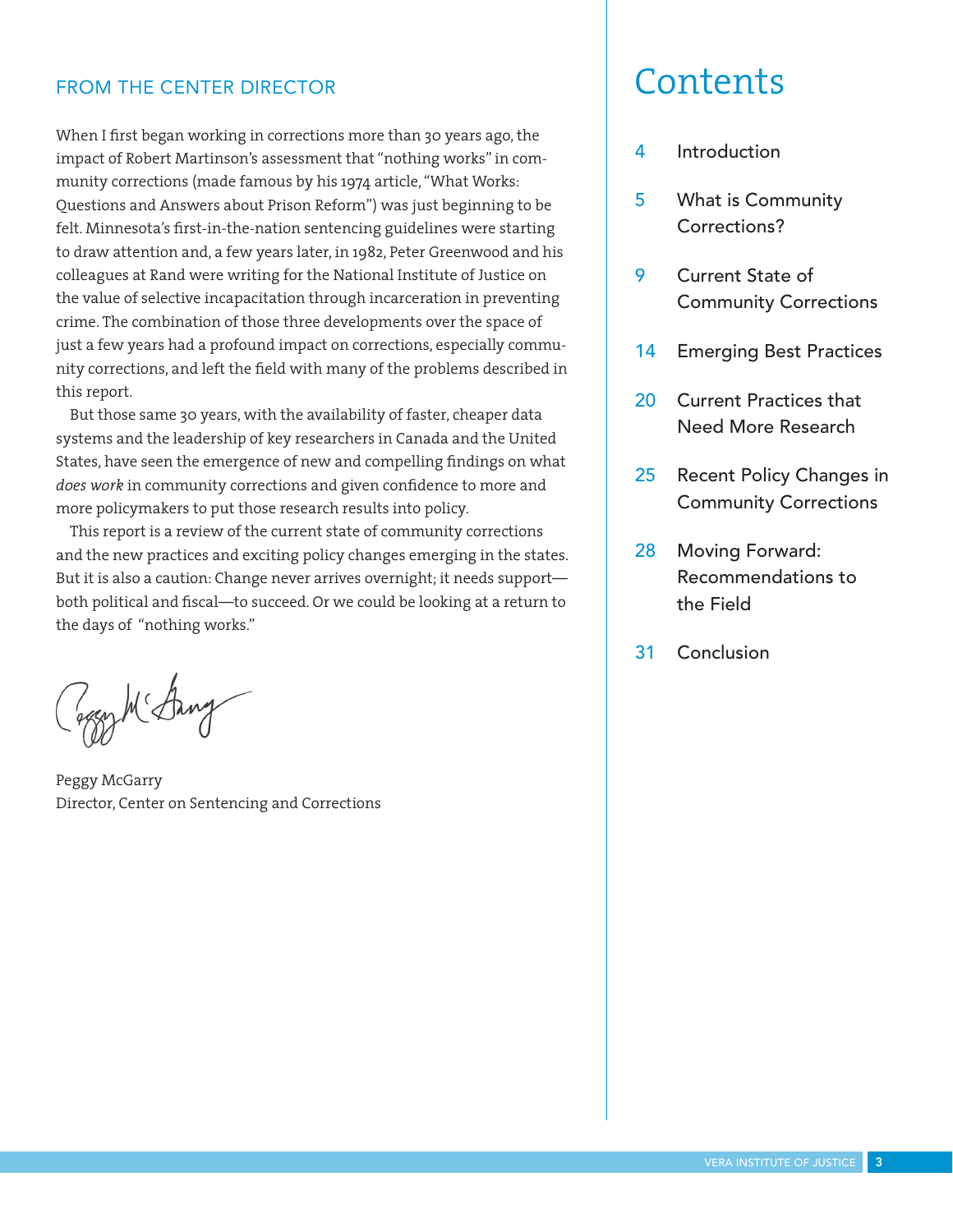#### FROM THE CENTER DIRECTOR

When I first began working in corrections more than 30 years ago, the impact of Robert Martinson's assessment that "nothing works" in community corrections (made famous by his 1974 article, "What Works: Questions and Answers about Prison Reform") was just beginning to be felt. Minnesota's first-in-the-nation sentencing guidelines were starting to draw attention and, a few years later, in 1982, Peter Greenwood and his colleagues at Rand were writing for the National Institute of Justice on the value of selective incapacitation through incarceration in preventing crime. The combination of those three developments over the space of just a few years had a profound impact on corrections, especially community corrections, and left the field with many of the problems described in this report.

But those same 30 years, with the availability of faster, cheaper data systems and the leadership of key researchers in Canada and the United States, have seen the emergence of new and compelling findings on what *does work* in community corrections and given confidence to more and more policymakers to put those research results into policy.

This report is a review of the current state of community corrections and the new practices and exciting policy changes emerging in the states. But it is also a caution: Change never arrives overnight; it needs support both political and fiscal—to succeed. Or we could be looking at a return to the days of "nothing works."

Caggy M' Dang

Peggy McGarry Director, Center on Sentencing and Corrections

### **Contents**

- 4 Introduction
- 5 What is Community Corrections?
- 9 Current State of Community Corrections
- 14 Emerging Best Practices
- 20 Current Practices that Need More Research
- 25 Recent Policy Changes in Community Corrections
- 28 Moving Forward: Recommendations to the Field
- 31 Conclusion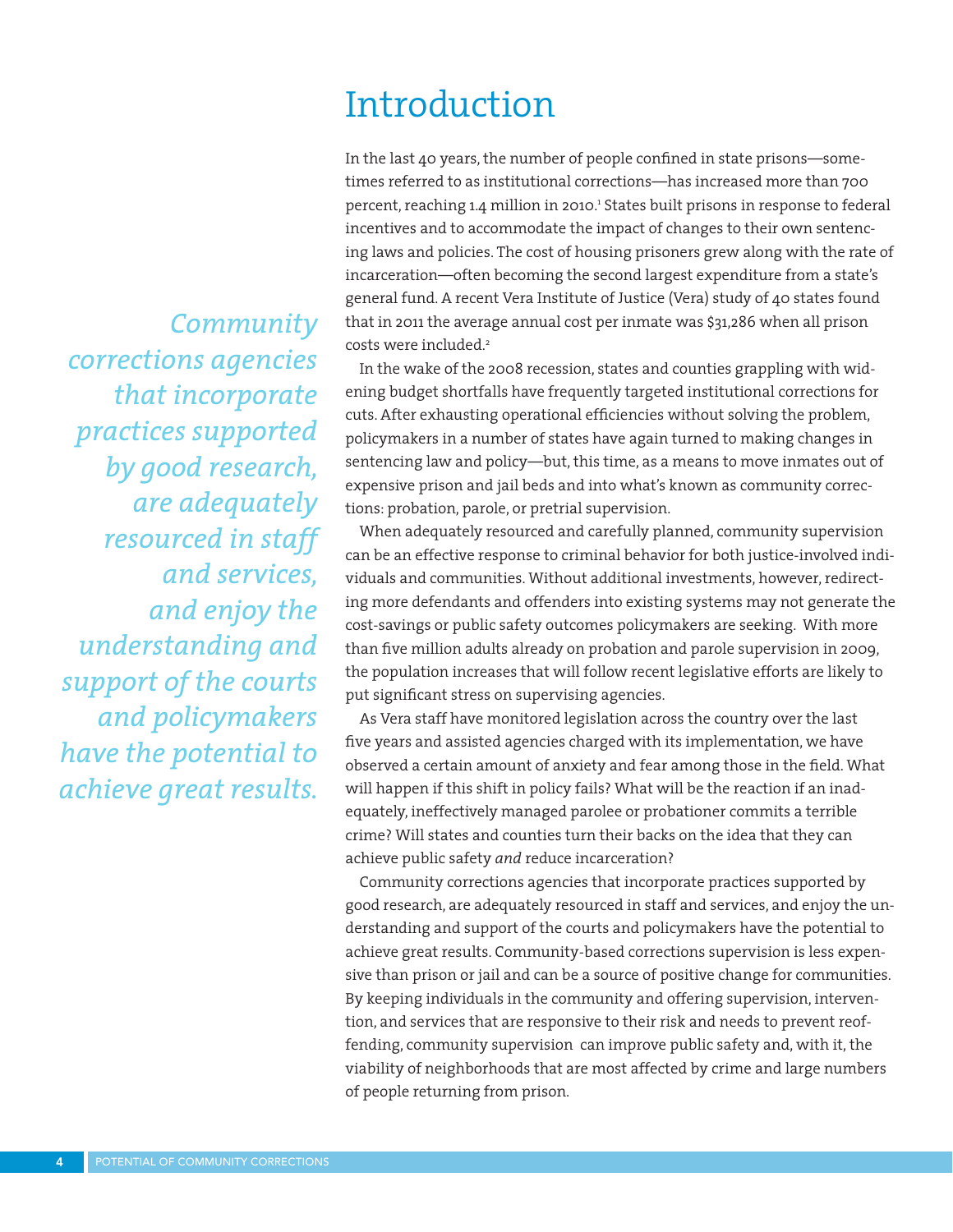### Introduction

In the last 40 years, the number of people confined in state prisons—sometimes referred to as institutional corrections—has increased more than 700 percent, reaching 1.4 million in 2010.<sup>1</sup> States built prisons in response to federal incentives and to accommodate the impact of changes to their own sentencing laws and policies. The cost of housing prisoners grew along with the rate of incarceration—often becoming the second largest expenditure from a state's general fund. A recent Vera Institute of Justice (Vera) study of 40 states found that in 2011 the average annual cost per inmate was \$31,286 when all prison costs were included.<sup>2</sup>

In the wake of the 2008 recession, states and counties grappling with widening budget shortfalls have frequently targeted institutional corrections for cuts. After exhausting operational efficiencies without solving the problem, policymakers in a number of states have again turned to making changes in sentencing law and policy—but, this time, as a means to move inmates out of expensive prison and jail beds and into what's known as community corrections: probation, parole, or pretrial supervision.

When adequately resourced and carefully planned, community supervision can be an effective response to criminal behavior for both justice-involved individuals and communities. Without additional investments, however, redirecting more defendants and offenders into existing systems may not generate the cost-savings or public safety outcomes policymakers are seeking. With more than five million adults already on probation and parole supervision in 2009, the population increases that will follow recent legislative efforts are likely to put significant stress on supervising agencies.

As Vera staff have monitored legislation across the country over the last five years and assisted agencies charged with its implementation, we have observed a certain amount of anxiety and fear among those in the field. What will happen if this shift in policy fails? What will be the reaction if an inadequately, ineffectively managed parolee or probationer commits a terrible crime? Will states and counties turn their backs on the idea that they can achieve public safety *and* reduce incarceration?

Community corrections agencies that incorporate practices supported by good research, are adequately resourced in staff and services, and enjoy the understanding and support of the courts and policymakers have the potential to achieve great results. Community-based corrections supervision is less expensive than prison or jail and can be a source of positive change for communities. By keeping individuals in the community and offering supervision, intervention, and services that are responsive to their risk and needs to prevent reoffending, community supervision can improve public safety and, with it, the viability of neighborhoods that are most affected by crime and large numbers of people returning from prison.

*Community corrections agencies that incorporate practices supported by good research, are adequately resourced in staff and services, and enjoy the understanding and support of the courts and policymakers have the potential to achieve great results.*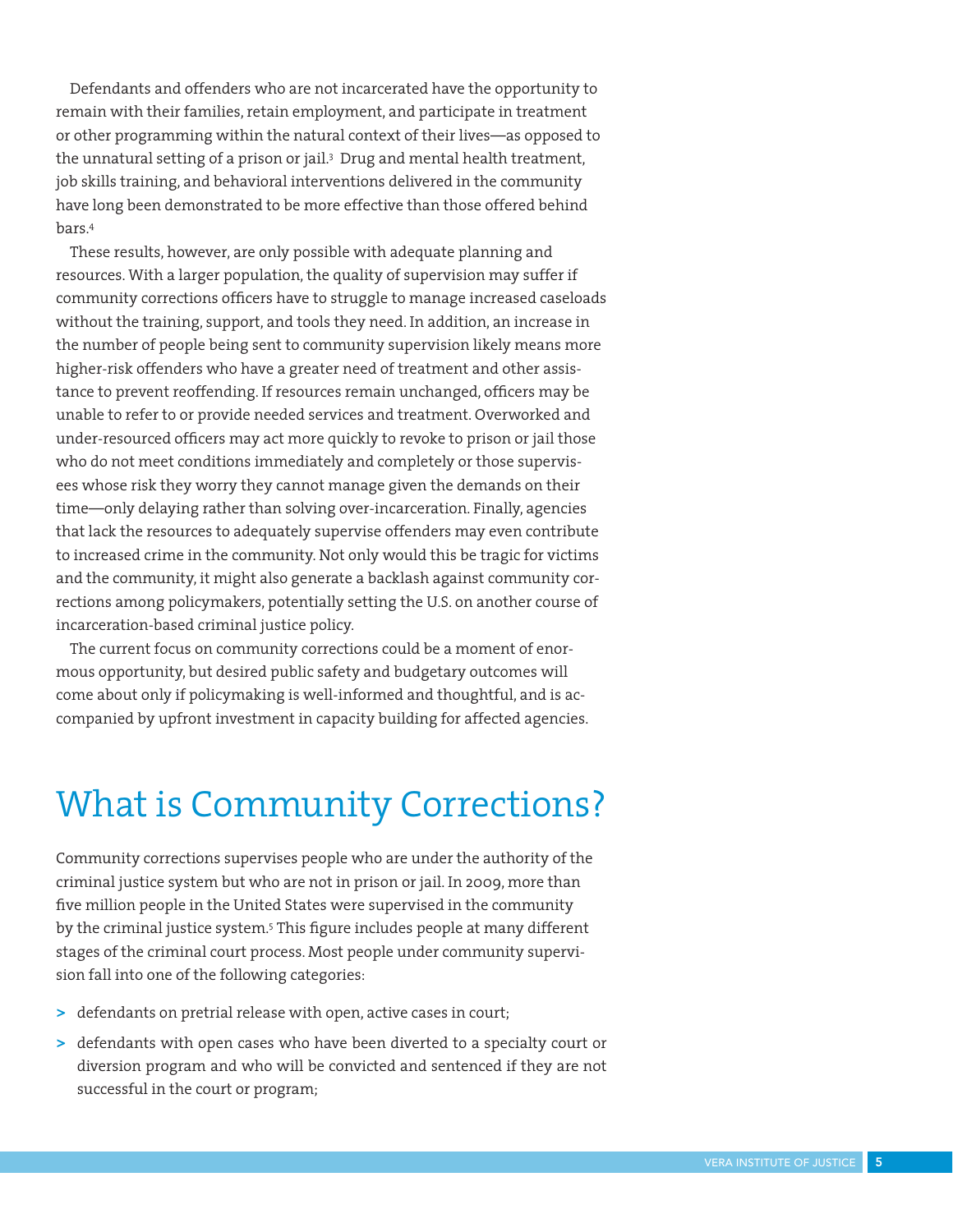Defendants and offenders who are not incarcerated have the opportunity to remain with their families, retain employment, and participate in treatment or other programming within the natural context of their lives—as opposed to the unnatural setting of a prison or jail.3 Drug and mental health treatment, job skills training, and behavioral interventions delivered in the community have long been demonstrated to be more effective than those offered behind bars.4

These results, however, are only possible with adequate planning and resources. With a larger population, the quality of supervision may suffer if community corrections officers have to struggle to manage increased caseloads without the training, support, and tools they need. In addition, an increase in the number of people being sent to community supervision likely means more higher-risk offenders who have a greater need of treatment and other assistance to prevent reoffending. If resources remain unchanged, officers may be unable to refer to or provide needed services and treatment. Overworked and under-resourced officers may act more quickly to revoke to prison or jail those who do not meet conditions immediately and completely or those supervisees whose risk they worry they cannot manage given the demands on their time—only delaying rather than solving over-incarceration. Finally, agencies that lack the resources to adequately supervise offenders may even contribute to increased crime in the community. Not only would this be tragic for victims and the community, it might also generate a backlash against community corrections among policymakers, potentially setting the U.S. on another course of incarceration-based criminal justice policy.

The current focus on community corrections could be a moment of enormous opportunity, but desired public safety and budgetary outcomes will come about only if policymaking is well-informed and thoughtful, and is accompanied by upfront investment in capacity building for affected agencies.

### What is Community Corrections?

Community corrections supervises people who are under the authority of the criminal justice system but who are not in prison or jail. In 2009, more than five million people in the United States were supervised in the community by the criminal justice system.<sup>5</sup> This figure includes people at many different stages of the criminal court process. Most people under community supervision fall into one of the following categories:

- > defendants on pretrial release with open, active cases in court;
- > defendants with open cases who have been diverted to a specialty court or diversion program and who will be convicted and sentenced if they are not successful in the court or program;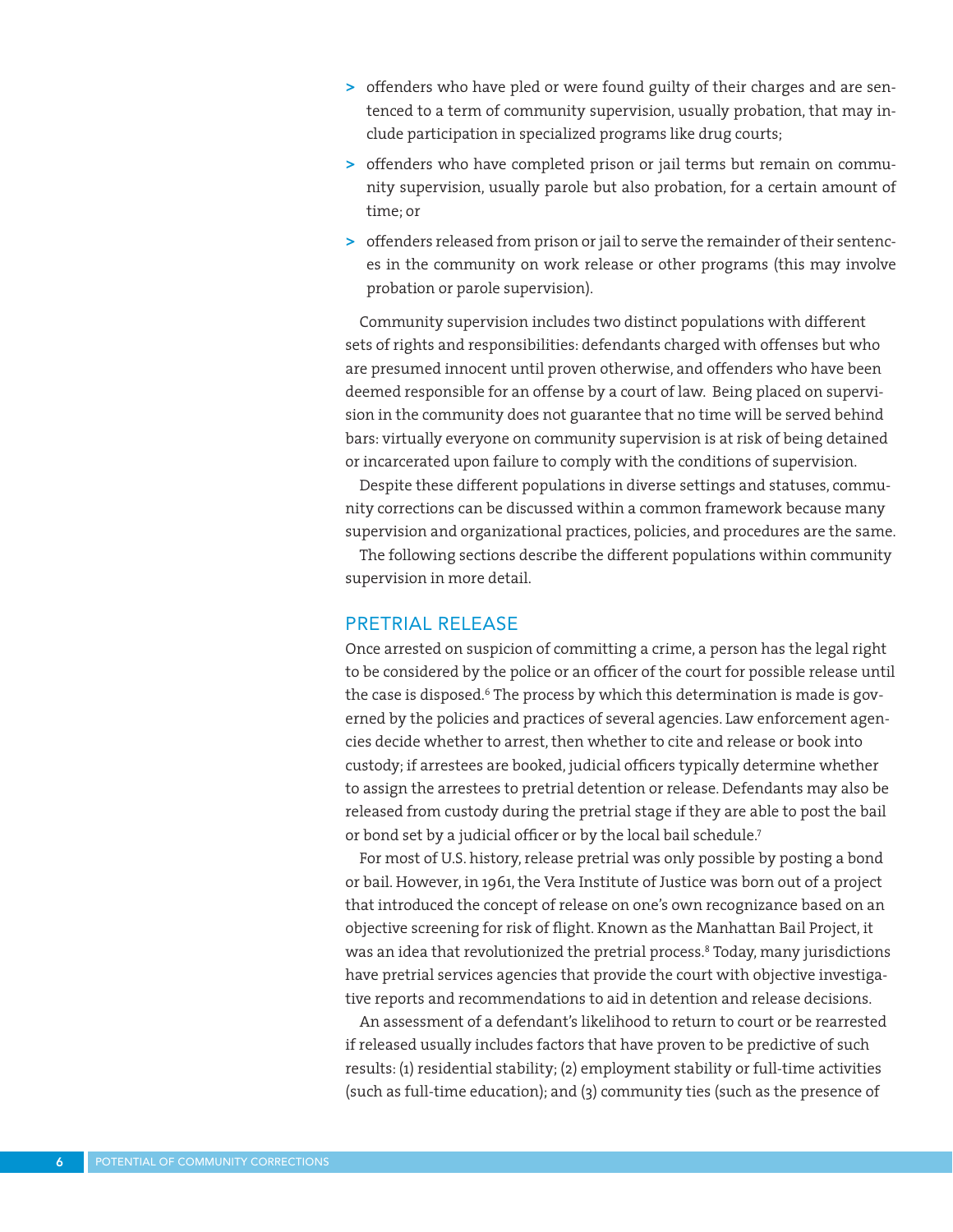- > offenders who have pled or were found guilty of their charges and are sentenced to a term of community supervision, usually probation, that may include participation in specialized programs like drug courts;
- > offenders who have completed prison or jail terms but remain on community supervision, usually parole but also probation, for a certain amount of time; or
- > offenders released from prison or jail to serve the remainder of their sentences in the community on work release or other programs (this may involve probation or parole supervision).

Community supervision includes two distinct populations with different sets of rights and responsibilities: defendants charged with offenses but who are presumed innocent until proven otherwise, and offenders who have been deemed responsible for an offense by a court of law. Being placed on supervision in the community does not guarantee that no time will be served behind bars: virtually everyone on community supervision is at risk of being detained or incarcerated upon failure to comply with the conditions of supervision.

Despite these different populations in diverse settings and statuses, community corrections can be discussed within a common framework because many supervision and organizational practices, policies, and procedures are the same.

The following sections describe the different populations within community supervision in more detail.

#### PRETRIAL RELEASE

Once arrested on suspicion of committing a crime, a person has the legal right to be considered by the police or an officer of the court for possible release until the case is disposed. $6$  The process by which this determination is made is governed by the policies and practices of several agencies. Law enforcement agencies decide whether to arrest, then whether to cite and release or book into custody; if arrestees are booked, judicial officers typically determine whether to assign the arrestees to pretrial detention or release. Defendants may also be released from custody during the pretrial stage if they are able to post the bail or bond set by a judicial officer or by the local bail schedule.7

For most of U.S. history, release pretrial was only possible by posting a bond or bail. However, in 1961, the Vera Institute of Justice was born out of a project that introduced the concept of release on one's own recognizance based on an objective screening for risk of flight. Known as the Manhattan Bail Project, it was an idea that revolutionized the pretrial process.8 Today, many jurisdictions have pretrial services agencies that provide the court with objective investigative reports and recommendations to aid in detention and release decisions.

An assessment of a defendant's likelihood to return to court or be rearrested if released usually includes factors that have proven to be predictive of such results: (1) residential stability; (2) employment stability or full-time activities (such as full-time education); and (3) community ties (such as the presence of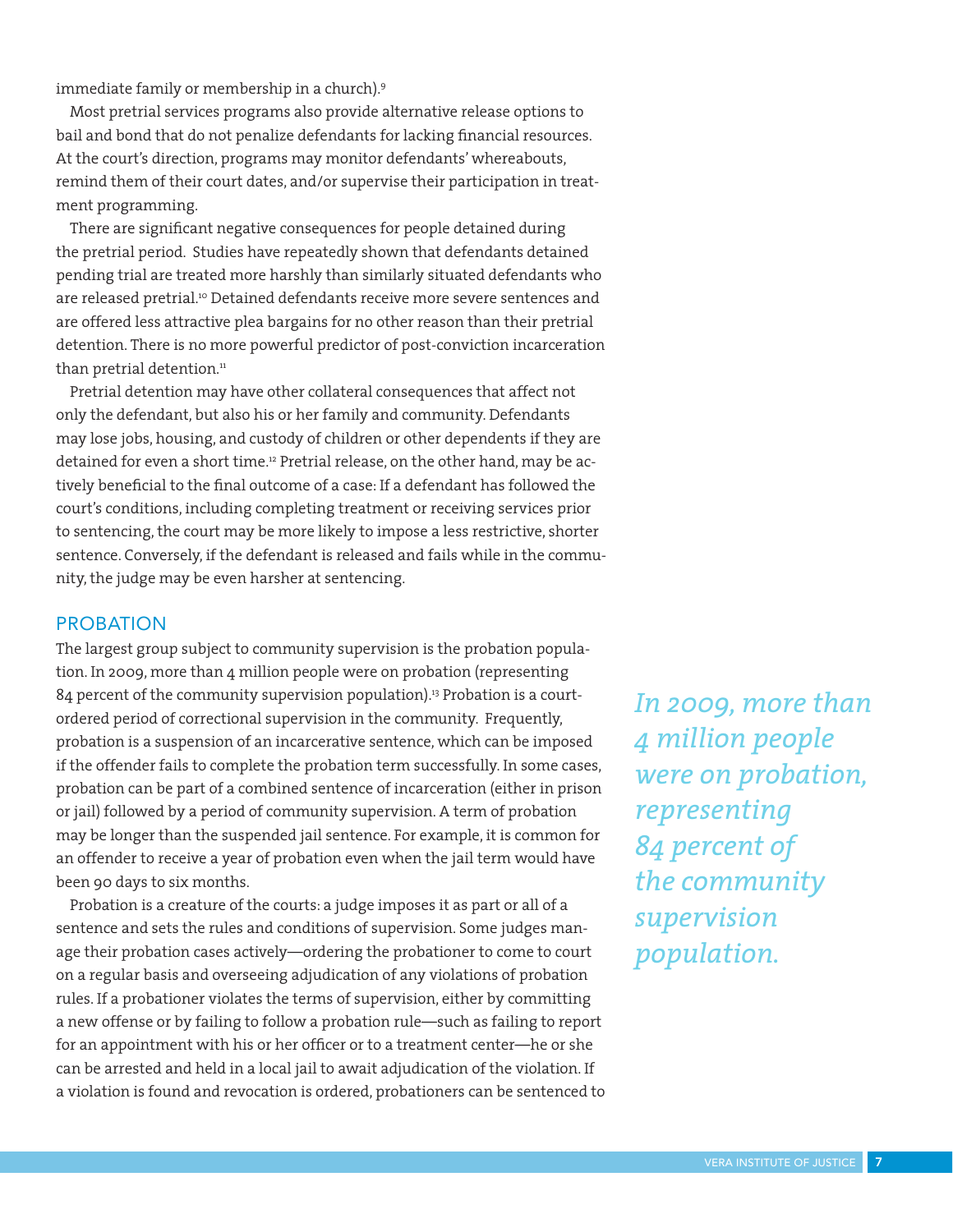immediate family or membership in a church).9

Most pretrial services programs also provide alternative release options to bail and bond that do not penalize defendants for lacking financial resources. At the court's direction, programs may monitor defendants' whereabouts, remind them of their court dates, and/or supervise their participation in treatment programming.

There are significant negative consequences for people detained during the pretrial period. Studies have repeatedly shown that defendants detained pending trial are treated more harshly than similarly situated defendants who are released pretrial.<sup>10</sup> Detained defendants receive more severe sentences and are offered less attractive plea bargains for no other reason than their pretrial detention. There is no more powerful predictor of post-conviction incarceration than pretrial detention.<sup>11</sup>

Pretrial detention may have other collateral consequences that affect not only the defendant, but also his or her family and community. Defendants may lose jobs, housing, and custody of children or other dependents if they are detained for even a short time.<sup>12</sup> Pretrial release, on the other hand, may be actively beneficial to the final outcome of a case: If a defendant has followed the court's conditions, including completing treatment or receiving services prior to sentencing, the court may be more likely to impose a less restrictive, shorter sentence. Conversely, if the defendant is released and fails while in the community, the judge may be even harsher at sentencing.

#### PROBATION

The largest group subject to community supervision is the probation population. In 2009, more than 4 million people were on probation (representing 84 percent of the community supervision population).<sup>13</sup> Probation is a courtordered period of correctional supervision in the community. Frequently, probation is a suspension of an incarcerative sentence, which can be imposed if the offender fails to complete the probation term successfully. In some cases, probation can be part of a combined sentence of incarceration (either in prison or jail) followed by a period of community supervision. A term of probation may be longer than the suspended jail sentence. For example, it is common for an offender to receive a year of probation even when the jail term would have been 90 days to six months.

Probation is a creature of the courts: a judge imposes it as part or all of a sentence and sets the rules and conditions of supervision. Some judges manage their probation cases actively—ordering the probationer to come to court on a regular basis and overseeing adjudication of any violations of probation rules. If a probationer violates the terms of supervision, either by committing a new offense or by failing to follow a probation rule—such as failing to report for an appointment with his or her officer or to a treatment center—he or she can be arrested and held in a local jail to await adjudication of the violation. If a violation is found and revocation is ordered, probationers can be sentenced to

*In 2009, more than 4 million people were on probation, representing 84 percent of the community supervision population.*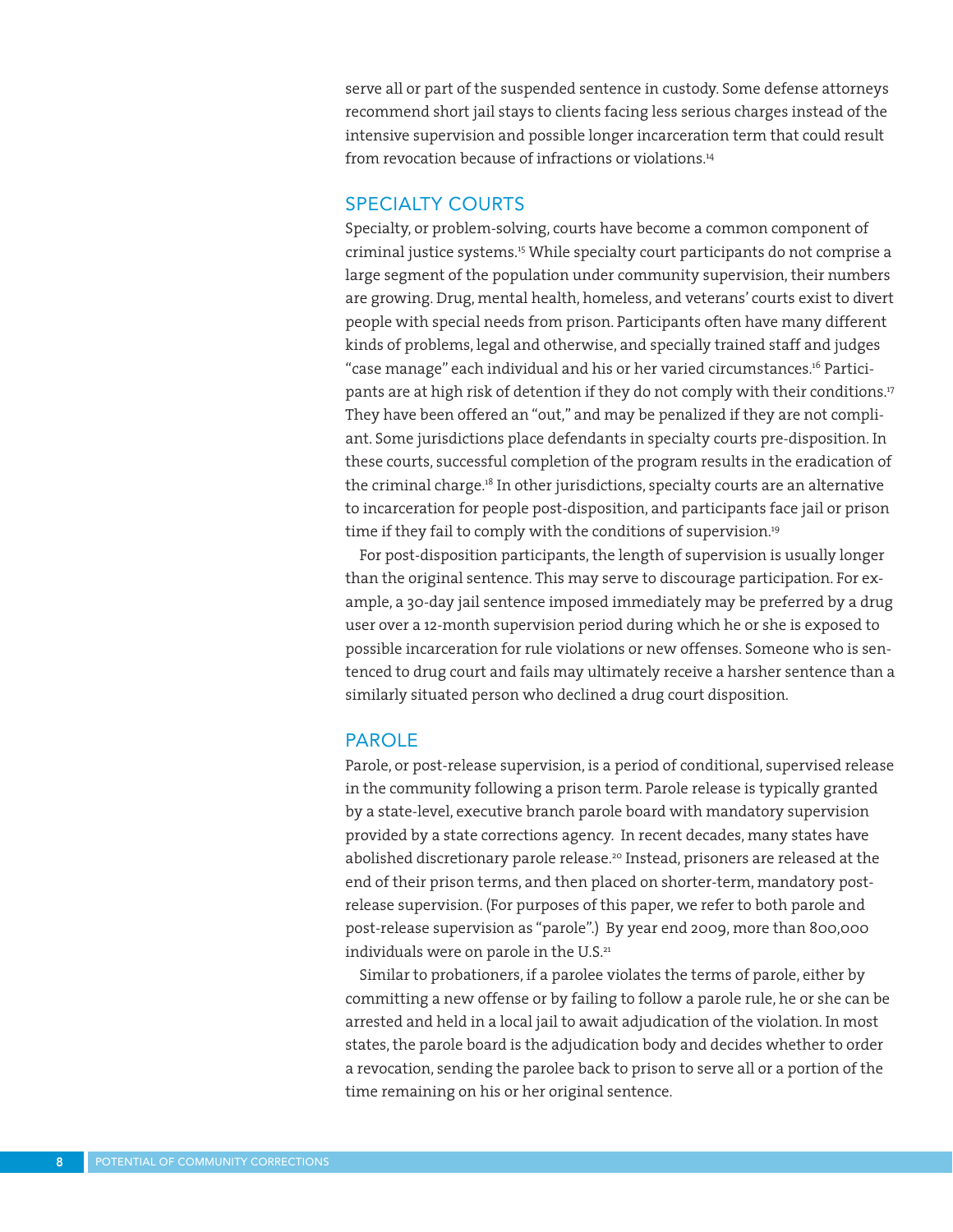serve all or part of the suspended sentence in custody. Some defense attorneys recommend short jail stays to clients facing less serious charges instead of the intensive supervision and possible longer incarceration term that could result from revocation because of infractions or violations<sup>14</sup>

#### SPECIALTY COURTS

Specialty, or problem-solving, courts have become a common component of criminal justice systems.15 While specialty court participants do not comprise a large segment of the population under community supervision, their numbers are growing. Drug, mental health, homeless, and veterans' courts exist to divert people with special needs from prison. Participants often have many different kinds of problems, legal and otherwise, and specially trained staff and judges "case manage" each individual and his or her varied circumstances.16 Participants are at high risk of detention if they do not comply with their conditions.<sup>17</sup> They have been offered an "out," and may be penalized if they are not compliant. Some jurisdictions place defendants in specialty courts pre-disposition. In these courts, successful completion of the program results in the eradication of the criminal charge.<sup>18</sup> In other jurisdictions, specialty courts are an alternative to incarceration for people post-disposition, and participants face jail or prison time if they fail to comply with the conditions of supervision.<sup>19</sup>

For post-disposition participants, the length of supervision is usually longer than the original sentence. This may serve to discourage participation. For example, a 30-day jail sentence imposed immediately may be preferred by a drug user over a 12-month supervision period during which he or she is exposed to possible incarceration for rule violations or new offenses. Someone who is sentenced to drug court and fails may ultimately receive a harsher sentence than a similarly situated person who declined a drug court disposition.

#### PAROLE

Parole, or post-release supervision, is a period of conditional, supervised release in the community following a prison term. Parole release is typically granted by a state-level, executive branch parole board with mandatory supervision provided by a state corrections agency. In recent decades, many states have abolished discretionary parole release.<sup>20</sup> Instead, prisoners are released at the end of their prison terms, and then placed on shorter-term, mandatory postrelease supervision. (For purposes of this paper, we refer to both parole and post-release supervision as "parole".) By year end 2009, more than 800,000 individuals were on parole in the U.S.<sup>21</sup>

Similar to probationers, if a parolee violates the terms of parole, either by committing a new offense or by failing to follow a parole rule, he or she can be arrested and held in a local jail to await adjudication of the violation. In most states, the parole board is the adjudication body and decides whether to order a revocation, sending the parolee back to prison to serve all or a portion of the time remaining on his or her original sentence.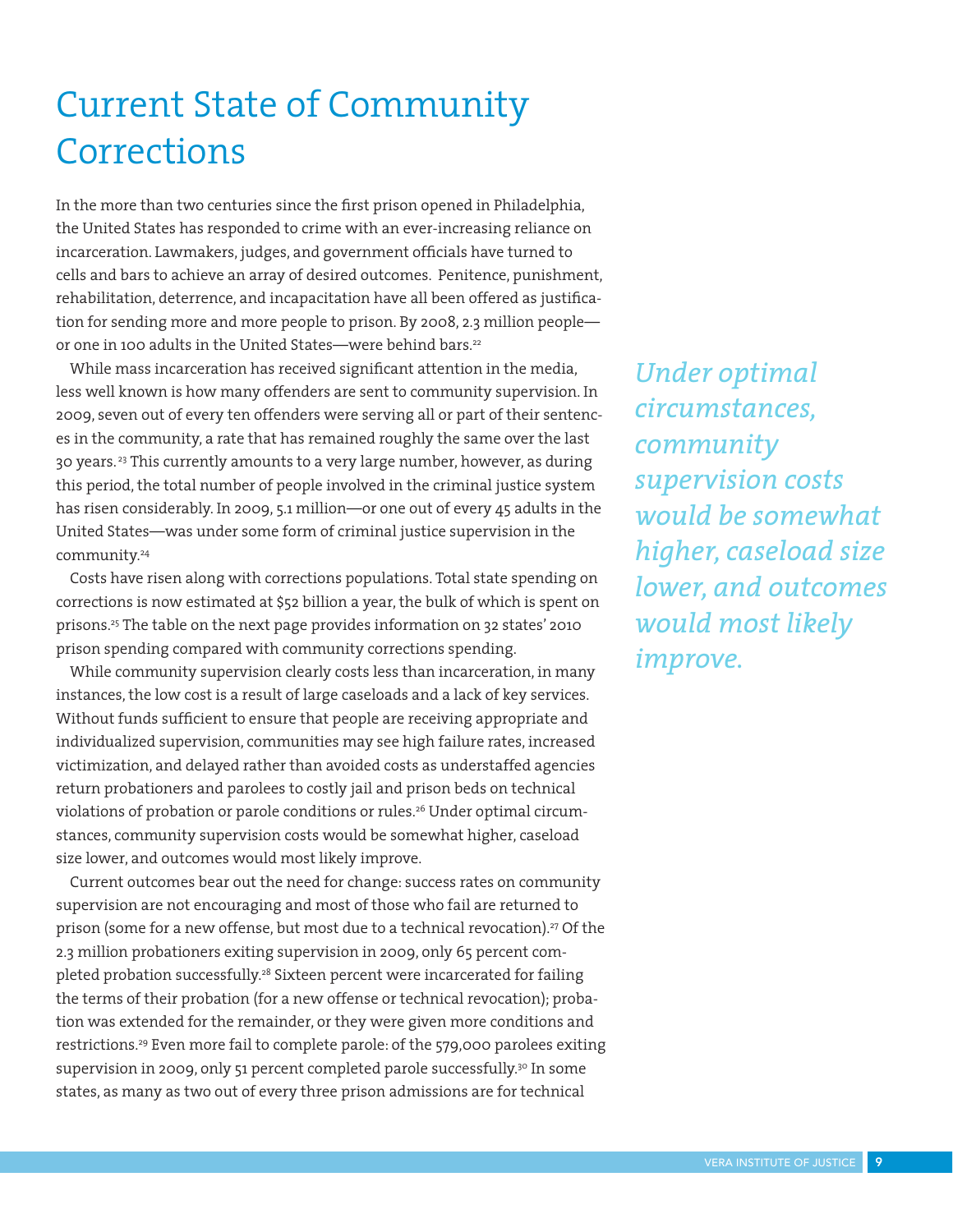# Current State of Community Corrections

In the more than two centuries since the first prison opened in Philadelphia, the United States has responded to crime with an ever-increasing reliance on incarceration. Lawmakers, judges, and government officials have turned to cells and bars to achieve an array of desired outcomes. Penitence, punishment, rehabilitation, deterrence, and incapacitation have all been offered as justification for sending more and more people to prison. By 2008, 2.3 million people or one in 100 adults in the United States—were behind bars.<sup>22</sup>

While mass incarceration has received significant attention in the media, less well known is how many offenders are sent to community supervision. In 2009, seven out of every ten offenders were serving all or part of their sentences in the community, a rate that has remained roughly the same over the last 30 years. 23 This currently amounts to a very large number, however, as during this period, the total number of people involved in the criminal justice system has risen considerably. In 2009, 5.1 million—or one out of every 45 adults in the United States—was under some form of criminal justice supervision in the community.24

Costs have risen along with corrections populations. Total state spending on corrections is now estimated at \$52 billion a year, the bulk of which is spent on prisons.25 The table on the next page provides information on 32 states' 2010 prison spending compared with community corrections spending.

While community supervision clearly costs less than incarceration, in many instances, the low cost is a result of large caseloads and a lack of key services. Without funds sufficient to ensure that people are receiving appropriate and individualized supervision, communities may see high failure rates, increased victimization, and delayed rather than avoided costs as understaffed agencies return probationers and parolees to costly jail and prison beds on technical violations of probation or parole conditions or rules.<sup>26</sup> Under optimal circumstances, community supervision costs would be somewhat higher, caseload size lower, and outcomes would most likely improve.

Current outcomes bear out the need for change: success rates on community supervision are not encouraging and most of those who fail are returned to prison (some for a new offense, but most due to a technical revocation).<sup>27</sup> Of the 2.3 million probationers exiting supervision in 2009, only 65 percent completed probation successfully.28 Sixteen percent were incarcerated for failing the terms of their probation (for a new offense or technical revocation); probation was extended for the remainder, or they were given more conditions and restrictions.29 Even more fail to complete parole: of the 579,000 parolees exiting supervision in 2009, only 51 percent completed parole successfully.<sup>30</sup> In some states, as many as two out of every three prison admissions are for technical

*Under optimal circumstances, community supervision costs would be somewhat higher, caseload size lower, and outcomes would most likely improve.*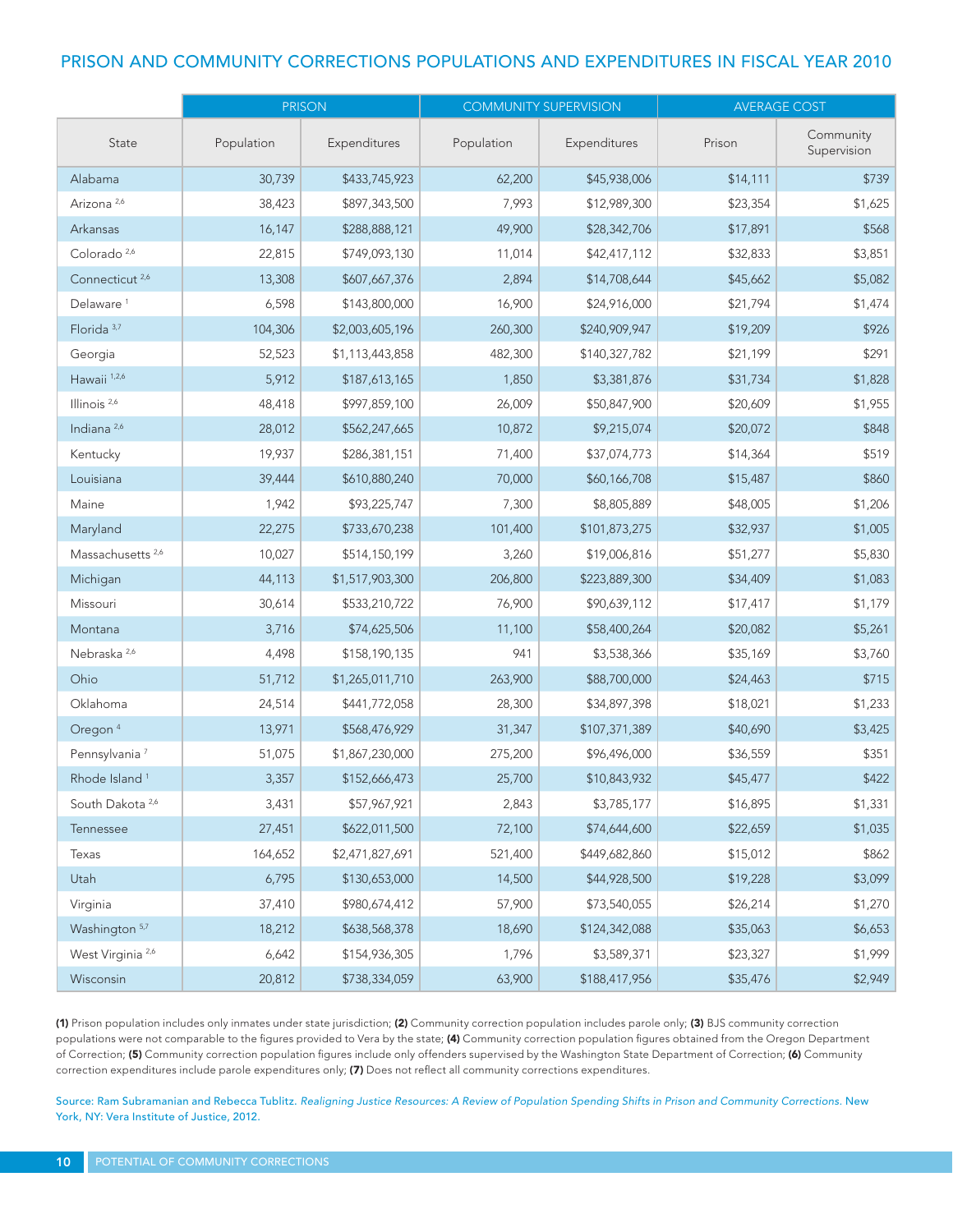#### PRISON AND COMMUNITY CORRECTIONS POPULATIONS AND EXPENDITURES IN FISCAL YEAR 2010

|                              | <b>PRISON</b> |                 | <b>COMMUNITY SUPERVISION</b> |               | <b>AVERAGE COST</b> |                          |
|------------------------------|---------------|-----------------|------------------------------|---------------|---------------------|--------------------------|
| State                        | Population    | Expenditures    | Population                   | Expenditures  | Prison              | Community<br>Supervision |
| Alabama                      | 30,739        | \$433,745,923   | 62,200                       | \$45,938,006  | \$14,111            | \$739                    |
| Arizona <sup>2,6</sup>       | 38,423        | \$897,343,500   | 7,993                        | \$12,989,300  | \$23,354            | \$1,625                  |
| Arkansas                     | 16,147        | \$288,888,121   | 49,900                       | \$28,342,706  | \$17,891            | \$568                    |
| Colorado <sup>2,6</sup>      | 22,815        | \$749,093,130   | 11,014                       | \$42,417,112  | \$32,833            | \$3,851                  |
| Connecticut <sup>2,6</sup>   | 13,308        | \$607,667,376   | 2,894                        | \$14,708,644  | \$45,662            | \$5,082                  |
| Delaware <sup>1</sup>        | 6,598         | \$143,800,000   | 16,900                       | \$24,916,000  | \$21,794            | \$1,474                  |
| Florida <sup>3,7</sup>       | 104,306       | \$2,003,605,196 | 260,300                      | \$240,909,947 | \$19,209            | \$926                    |
| Georgia                      | 52,523        | \$1,113,443,858 | 482,300                      | \$140,327,782 | \$21,199            | \$291                    |
| Hawaii <sup>1,2,6</sup>      | 5,912         | \$187,613,165   | 1,850                        | \$3,381,876   | \$31,734            | \$1,828                  |
| Illinois <sup>2,6</sup>      | 48,418        | \$997,859,100   | 26,009                       | \$50,847,900  | \$20,609            | \$1,955                  |
| Indiana <sup>2,6</sup>       | 28,012        | \$562,247,665   | 10,872                       | \$9,215,074   | \$20,072            | \$848                    |
| Kentucky                     | 19,937        | \$286,381,151   | 71,400                       | \$37,074,773  | \$14,364            | \$519                    |
| Louisiana                    | 39,444        | \$610,880,240   | 70,000                       | \$60,166,708  | \$15,487            | \$860                    |
| Maine                        | 1,942         | \$93,225,747    | 7,300                        | \$8,805,889   | \$48,005            | \$1,206                  |
| Maryland                     | 22,275        | \$733,670,238   | 101,400                      | \$101,873,275 | \$32,937            | \$1,005                  |
| Massachusetts <sup>2,6</sup> | 10,027        | \$514,150,199   | 3,260                        | \$19,006,816  | \$51,277            | \$5,830                  |
| Michigan                     | 44,113        | \$1,517,903,300 | 206,800                      | \$223,889,300 | \$34,409            | \$1,083                  |
| Missouri                     | 30,614        | \$533,210,722   | 76,900                       | \$90,639,112  | \$17,417            | \$1,179                  |
| Montana                      | 3,716         | \$74,625,506    | 11,100                       | \$58,400,264  | \$20,082            | \$5,261                  |
| Nebraska <sup>2,6</sup>      | 4,498         | \$158,190,135   | 941                          | \$3,538,366   | \$35,169            | \$3,760                  |
| Ohio                         | 51,712        | \$1,265,011,710 | 263,900                      | \$88,700,000  | \$24,463            | \$715                    |
| Oklahoma                     | 24,514        | \$441,772,058   | 28,300                       | \$34,897,398  | \$18,021            | \$1,233                  |
| Oregon <sup>4</sup>          | 13,971        | \$568,476,929   | 31,347                       | \$107,371,389 | \$40,690            | \$3,425                  |
| Pennsylvania <sup>7</sup>    | 51,075        | \$1,867,230,000 | 275,200                      | \$96,496,000  | \$36,559            | \$351                    |
| Rhode Island <sup>1</sup>    | 3,357         | \$152,666,473   | 25,700                       | \$10,843,932  | \$45,477            | \$422                    |
| South Dakota <sup>2,6</sup>  | 3,431         | \$57,967,921    | 2,843                        | \$3,785,177   | \$16,895            | \$1,331                  |
| Tennessee                    | 27,451        | \$622,011,500   | 72,100                       | \$74,644,600  | \$22,659            | \$1,035                  |
| Texas                        | 164,652       | \$2,471,827,691 | 521,400                      | \$449,682,860 | \$15,012            | \$862                    |
| Utah                         | 6,795         | \$130,653,000   | 14,500                       | \$44,928,500  | \$19,228            | \$3,099                  |
| Virginia                     | 37,410        | \$980,674,412   | 57,900                       | \$73,540,055  | \$26,214            | \$1,270                  |
| Washington <sup>5,7</sup>    | 18,212        | \$638,568,378   | 18,690                       | \$124,342,088 | \$35,063            | \$6,653                  |
| West Virginia <sup>2,6</sup> | 6,642         | \$154,936,305   | 1,796                        | \$3,589,371   | \$23,327            | \$1,999                  |
| Wisconsin                    | 20,812        | \$738,334,059   | 63,900                       | \$188,417,956 | \$35,476            | \$2,949                  |

(1) Prison population includes only inmates under state jurisdiction; (2) Community correction population includes parole only; (3) BJS community correction populations were not comparable to the figures provided to Vera by the state; (4) Community correction population figures obtained from the Oregon Department of Correction; (5) Community correction population figures include only offenders supervised by the Washington State Department of Correction; (6) Community correction expenditures include parole expenditures only; (7) Does not reflect all community corrections expenditures.

Source: Ram Subramanian and Rebecca Tublitz. Realigning Justice Resources: A Review of Population Spending Shifts in Prison and Community Corrections. New York, NY: Vera Institute of Justice, 2012.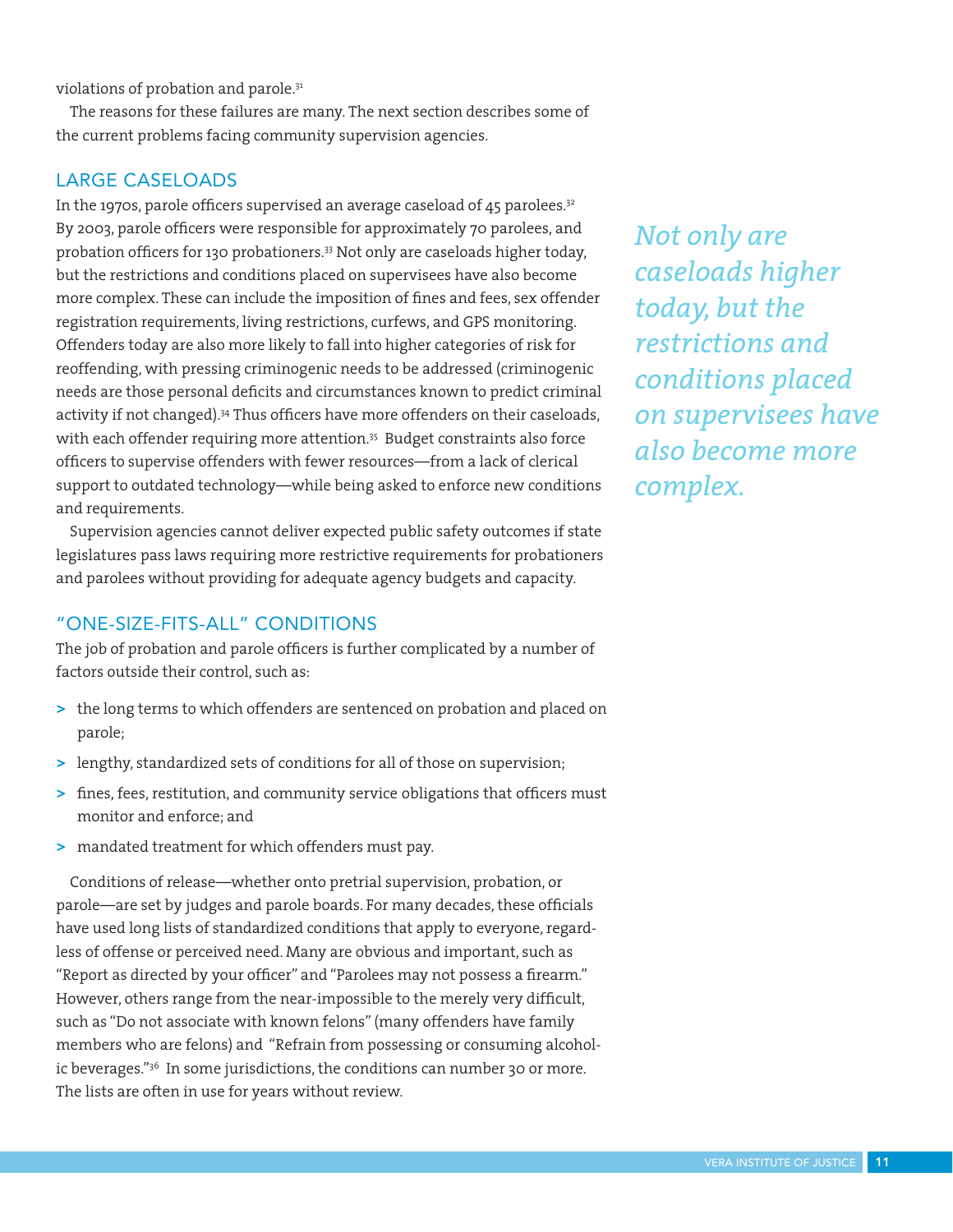violations of probation and parole.<sup>31</sup>

The reasons for these failures are many. The next section describes some of the current problems facing community supervision agencies.

#### LARGE CASELOADS

In the 1970s, parole officers supervised an average caseload of 45 parolees.<sup>32</sup> By 2003, parole officers were responsible for approximately 70 parolees, and probation officers for 130 probationers.33 Not only are caseloads higher today, but the restrictions and conditions placed on supervisees have also become more complex. These can include the imposition of fines and fees, sex offender registration requirements, living restrictions, curfews, and GPS monitoring. Offenders today are also more likely to fall into higher categories of risk for reoffending, with pressing criminogenic needs to be addressed (criminogenic needs are those personal deficits and circumstances known to predict criminal activity if not changed).34 Thus officers have more offenders on their caseloads, with each offender requiring more attention.<sup>35</sup> Budget constraints also force officers to supervise offenders with fewer resources—from a lack of clerical support to outdated technology—while being asked to enforce new conditions and requirements.

Supervision agencies cannot deliver expected public safety outcomes if state legislatures pass laws requiring more restrictive requirements for probationers and parolees without providing for adequate agency budgets and capacity.

#### "ONE-SIZE-FITS-ALL" CONDITIONS

The job of probation and parole officers is further complicated by a number of factors outside their control, such as:

- > the long terms to which offenders are sentenced on probation and placed on parole;
- > lengthy, standardized sets of conditions for all of those on supervision;
- > fines, fees, restitution, and community service obligations that officers must monitor and enforce; and
- > mandated treatment for which offenders must pay.

Conditions of release—whether onto pretrial supervision, probation, or parole—are set by judges and parole boards. For many decades, these officials have used long lists of standardized conditions that apply to everyone, regardless of offense or perceived need. Many are obvious and important, such as "Report as directed by your officer" and "Parolees may not possess a firearm." However, others range from the near-impossible to the merely very difficult, such as "Do not associate with known felons" (many offenders have family members who are felons) and "Refrain from possessing or consuming alcoholic beverages."36 In some jurisdictions, the conditions can number 30 or more. The lists are often in use for years without review.

*Not only are caseloads higher today, but the restrictions and conditions placed on supervisees have also become more complex.*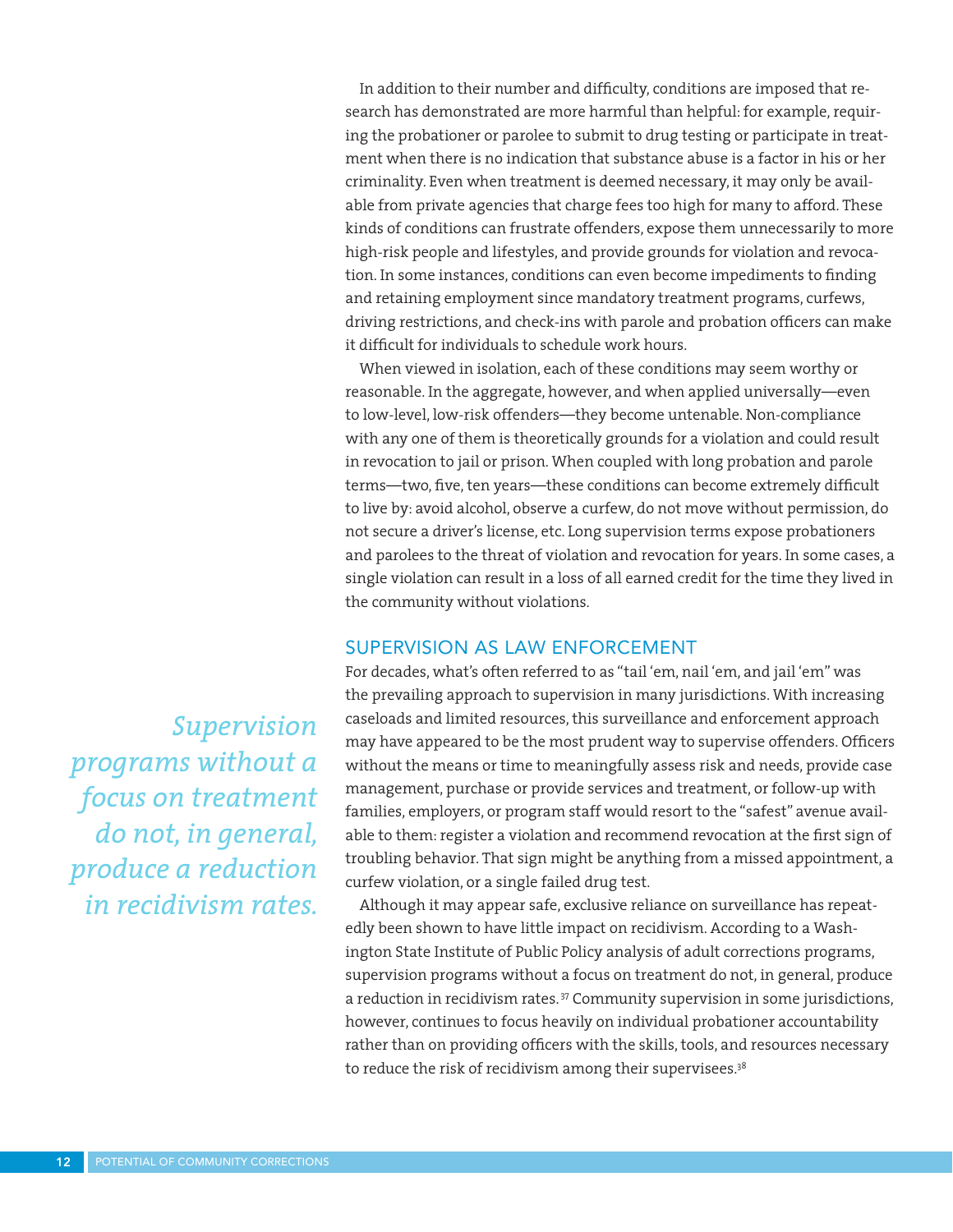In addition to their number and difficulty, conditions are imposed that research has demonstrated are more harmful than helpful: for example, requiring the probationer or parolee to submit to drug testing or participate in treatment when there is no indication that substance abuse is a factor in his or her criminality. Even when treatment is deemed necessary, it may only be available from private agencies that charge fees too high for many to afford. These kinds of conditions can frustrate offenders, expose them unnecessarily to more high-risk people and lifestyles, and provide grounds for violation and revocation. In some instances, conditions can even become impediments to finding and retaining employment since mandatory treatment programs, curfews, driving restrictions, and check-ins with parole and probation officers can make it difficult for individuals to schedule work hours.

When viewed in isolation, each of these conditions may seem worthy or reasonable. In the aggregate, however, and when applied universally—even to low-level, low-risk offenders—they become untenable. Non-compliance with any one of them is theoretically grounds for a violation and could result in revocation to jail or prison. When coupled with long probation and parole terms—two, five, ten years—these conditions can become extremely difficult to live by: avoid alcohol, observe a curfew, do not move without permission, do not secure a driver's license, etc. Long supervision terms expose probationers and parolees to the threat of violation and revocation for years. In some cases, a single violation can result in a loss of all earned credit for the time they lived in the community without violations.

#### SUPERVISION AS LAW ENFORCEMENT

For decades, what's often referred to as "tail 'em, nail 'em, and jail 'em" was the prevailing approach to supervision in many jurisdictions. With increasing caseloads and limited resources, this surveillance and enforcement approach may have appeared to be the most prudent way to supervise offenders. Officers without the means or time to meaningfully assess risk and needs, provide case management, purchase or provide services and treatment, or follow-up with families, employers, or program staff would resort to the "safest" avenue available to them: register a violation and recommend revocation at the first sign of troubling behavior. That sign might be anything from a missed appointment, a curfew violation, or a single failed drug test.

Although it may appear safe, exclusive reliance on surveillance has repeatedly been shown to have little impact on recidivism. According to a Washington State Institute of Public Policy analysis of adult corrections programs, supervision programs without a focus on treatment do not, in general, produce a reduction in recidivism rates.<sup>37</sup> Community supervision in some jurisdictions, however, continues to focus heavily on individual probationer accountability rather than on providing officers with the skills, tools, and resources necessary to reduce the risk of recidivism among their supervisees.<sup>38</sup>

*Supervision programs without a focus on treatment do not, in general, produce a reduction in recidivism rates.*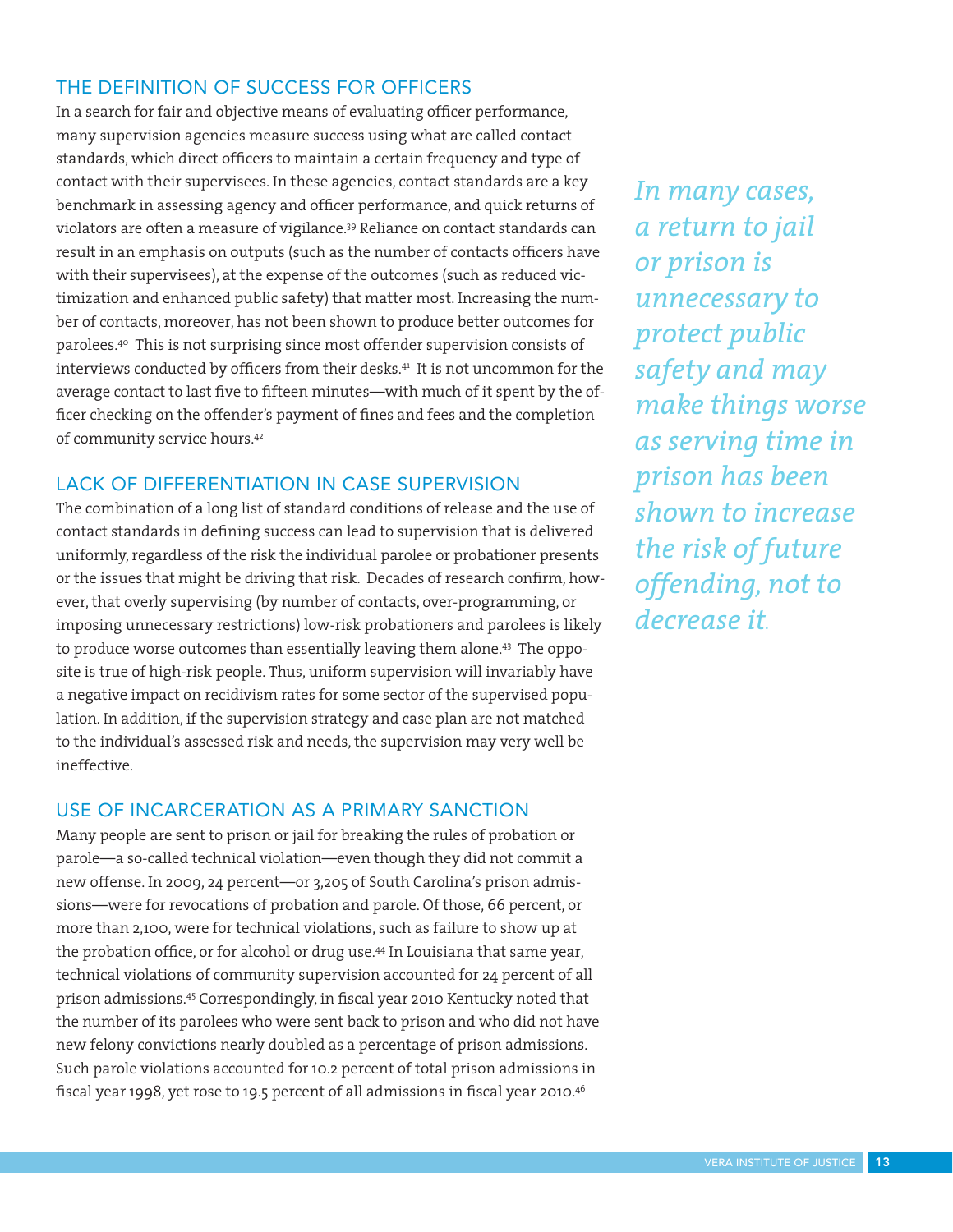#### THE DEFINITION OF SUCCESS FOR OFFICERS

In a search for fair and objective means of evaluating officer performance, many supervision agencies measure success using what are called contact standards, which direct officers to maintain a certain frequency and type of contact with their supervisees. In these agencies, contact standards are a key benchmark in assessing agency and officer performance, and quick returns of violators are often a measure of vigilance.<sup>39</sup> Reliance on contact standards can result in an emphasis on outputs (such as the number of contacts officers have with their supervisees), at the expense of the outcomes (such as reduced victimization and enhanced public safety) that matter most. Increasing the number of contacts, moreover, has not been shown to produce better outcomes for parolees.40 This is not surprising since most offender supervision consists of interviews conducted by officers from their desks.<sup>41</sup> It is not uncommon for the average contact to last five to fifteen minutes—with much of it spent by the officer checking on the offender's payment of fines and fees and the completion of community service hours.42

#### LACK OF DIFFERENTIATION IN CASE SUPERVISION

The combination of a long list of standard conditions of release and the use of contact standards in defining success can lead to supervision that is delivered uniformly, regardless of the risk the individual parolee or probationer presents or the issues that might be driving that risk. Decades of research confirm, however, that overly supervising (by number of contacts, over-programming, or imposing unnecessary restrictions) low-risk probationers and parolees is likely to produce worse outcomes than essentially leaving them alone.<sup>43</sup> The opposite is true of high-risk people. Thus, uniform supervision will invariably have a negative impact on recidivism rates for some sector of the supervised population. In addition, if the supervision strategy and case plan are not matched to the individual's assessed risk and needs, the supervision may very well be ineffective.

#### USE OF INCARCERATION AS A PRIMARY SANCTION

Many people are sent to prison or jail for breaking the rules of probation or parole—a so-called technical violation—even though they did not commit a new offense. In 2009, 24 percent—or 3,205 of South Carolina's prison admissions—were for revocations of probation and parole. Of those, 66 percent, or more than 2,100, were for technical violations, such as failure to show up at the probation office, or for alcohol or drug use.44 In Louisiana that same year, technical violations of community supervision accounted for 24 percent of all prison admissions.45 Correspondingly, in fiscal year 2010 Kentucky noted that the number of its parolees who were sent back to prison and who did not have new felony convictions nearly doubled as a percentage of prison admissions. Such parole violations accounted for 10.2 percent of total prison admissions in fiscal year 1998, yet rose to 19.5 percent of all admissions in fiscal year 2010.46

*In many cases, a return to jail or prison is unnecessary to protect public safety and may make things worse as serving time in prison has been shown to increase the risk of future offending, not to decrease it.*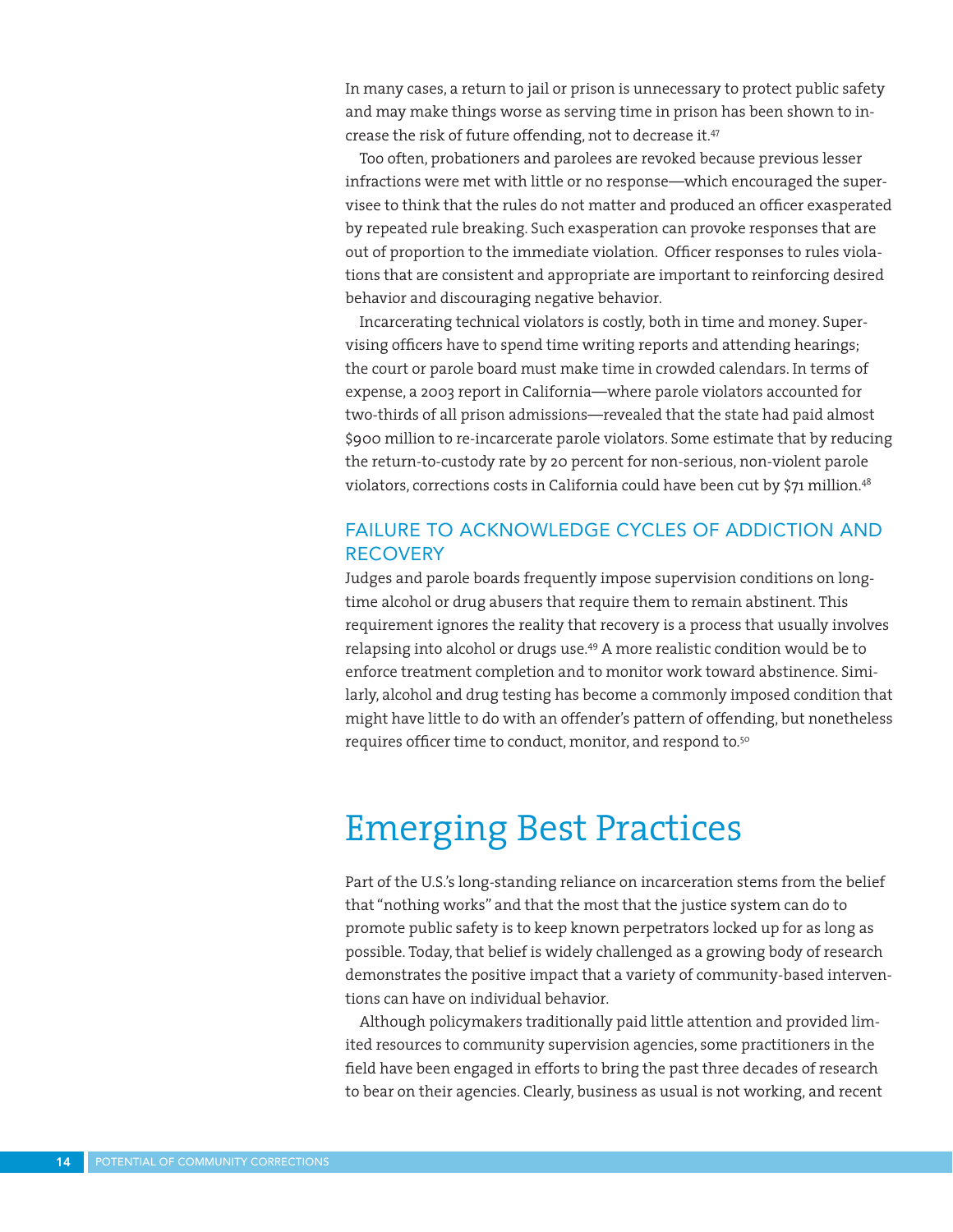In many cases, a return to jail or prison is unnecessary to protect public safety and may make things worse as serving time in prison has been shown to increase the risk of future offending, not to decrease it.47

Too often, probationers and parolees are revoked because previous lesser infractions were met with little or no response—which encouraged the supervisee to think that the rules do not matter and produced an officer exasperated by repeated rule breaking. Such exasperation can provoke responses that are out of proportion to the immediate violation. Officer responses to rules violations that are consistent and appropriate are important to reinforcing desired behavior and discouraging negative behavior.

Incarcerating technical violators is costly, both in time and money. Supervising officers have to spend time writing reports and attending hearings; the court or parole board must make time in crowded calendars. In terms of expense, a 2003 report in California—where parole violators accounted for two-thirds of all prison admissions—revealed that the state had paid almost \$900 million to re-incarcerate parole violators. Some estimate that by reducing the return-to-custody rate by 20 percent for non-serious, non-violent parole violators, corrections costs in California could have been cut by \$71 million.<sup>48</sup>

#### FAILURE TO ACKNOWLEDGE CYCLES OF ADDICTION AND **RECOVERY**

Judges and parole boards frequently impose supervision conditions on longtime alcohol or drug abusers that require them to remain abstinent. This requirement ignores the reality that recovery is a process that usually involves relapsing into alcohol or drugs use.49 A more realistic condition would be to enforce treatment completion and to monitor work toward abstinence. Similarly, alcohol and drug testing has become a commonly imposed condition that might have little to do with an offender's pattern of offending, but nonetheless requires officer time to conduct, monitor, and respond to.<sup>50</sup>

### Emerging Best Practices

Part of the U.S.'s long-standing reliance on incarceration stems from the belief that "nothing works" and that the most that the justice system can do to promote public safety is to keep known perpetrators locked up for as long as possible. Today, that belief is widely challenged as a growing body of research demonstrates the positive impact that a variety of community-based interventions can have on individual behavior.

Although policymakers traditionally paid little attention and provided limited resources to community supervision agencies, some practitioners in the field have been engaged in efforts to bring the past three decades of research to bear on their agencies. Clearly, business as usual is not working, and recent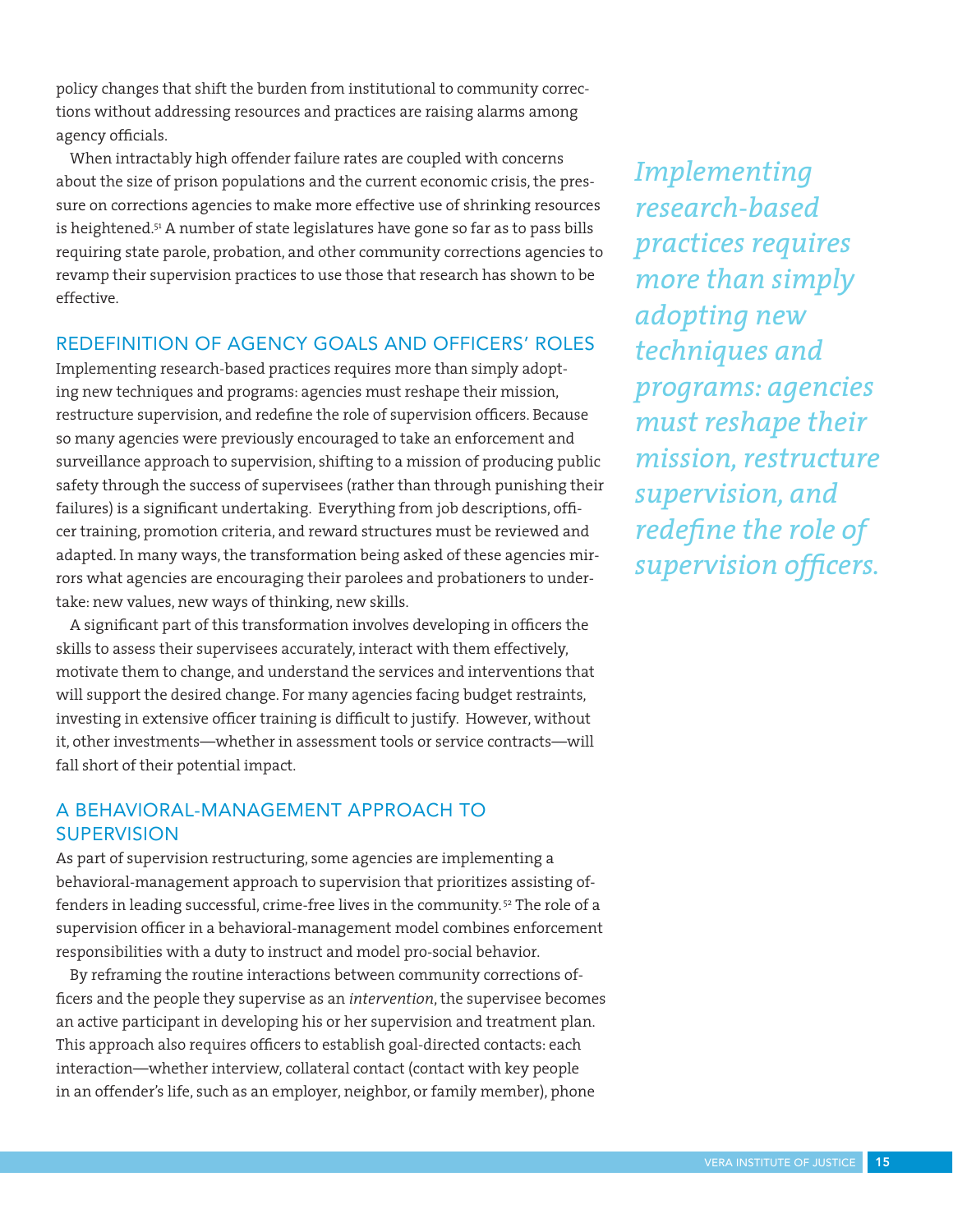policy changes that shift the burden from institutional to community corrections without addressing resources and practices are raising alarms among agency officials.

When intractably high offender failure rates are coupled with concerns about the size of prison populations and the current economic crisis, the pressure on corrections agencies to make more effective use of shrinking resources is heightened.<sup>51</sup> A number of state legislatures have gone so far as to pass bills requiring state parole, probation, and other community corrections agencies to revamp their supervision practices to use those that research has shown to be effective.

#### REDEFINITION OF AGENCY GOALS AND OFFICERS' ROLES

Implementing research-based practices requires more than simply adopting new techniques and programs: agencies must reshape their mission, restructure supervision, and redefine the role of supervision officers. Because so many agencies were previously encouraged to take an enforcement and surveillance approach to supervision, shifting to a mission of producing public safety through the success of supervisees (rather than through punishing their failures) is a significant undertaking. Everything from job descriptions, officer training, promotion criteria, and reward structures must be reviewed and adapted. In many ways, the transformation being asked of these agencies mirrors what agencies are encouraging their parolees and probationers to undertake: new values, new ways of thinking, new skills.

A significant part of this transformation involves developing in officers the skills to assess their supervisees accurately, interact with them effectively, motivate them to change, and understand the services and interventions that will support the desired change. For many agencies facing budget restraints, investing in extensive officer training is difficult to justify. However, without it, other investments—whether in assessment tools or service contracts—will fall short of their potential impact.

#### A BEHAVIORAL-MANAGEMENT APPROACH TO **SUPERVISION**

As part of supervision restructuring, some agencies are implementing a behavioral-management approach to supervision that prioritizes assisting offenders in leading successful, crime-free lives in the community.<sup>52</sup> The role of a supervision officer in a behavioral-management model combines enforcement responsibilities with a duty to instruct and model pro-social behavior.

By reframing the routine interactions between community corrections officers and the people they supervise as an *intervention*, the supervisee becomes an active participant in developing his or her supervision and treatment plan. This approach also requires officers to establish goal-directed contacts: each interaction—whether interview, collateral contact (contact with key people in an offender's life, such as an employer, neighbor, or family member), phone

*Implementing research-based practices requires more than simply adopting new techniques and programs: agencies must reshape their mission, restructure supervision, and redefine the role of supervision officers.*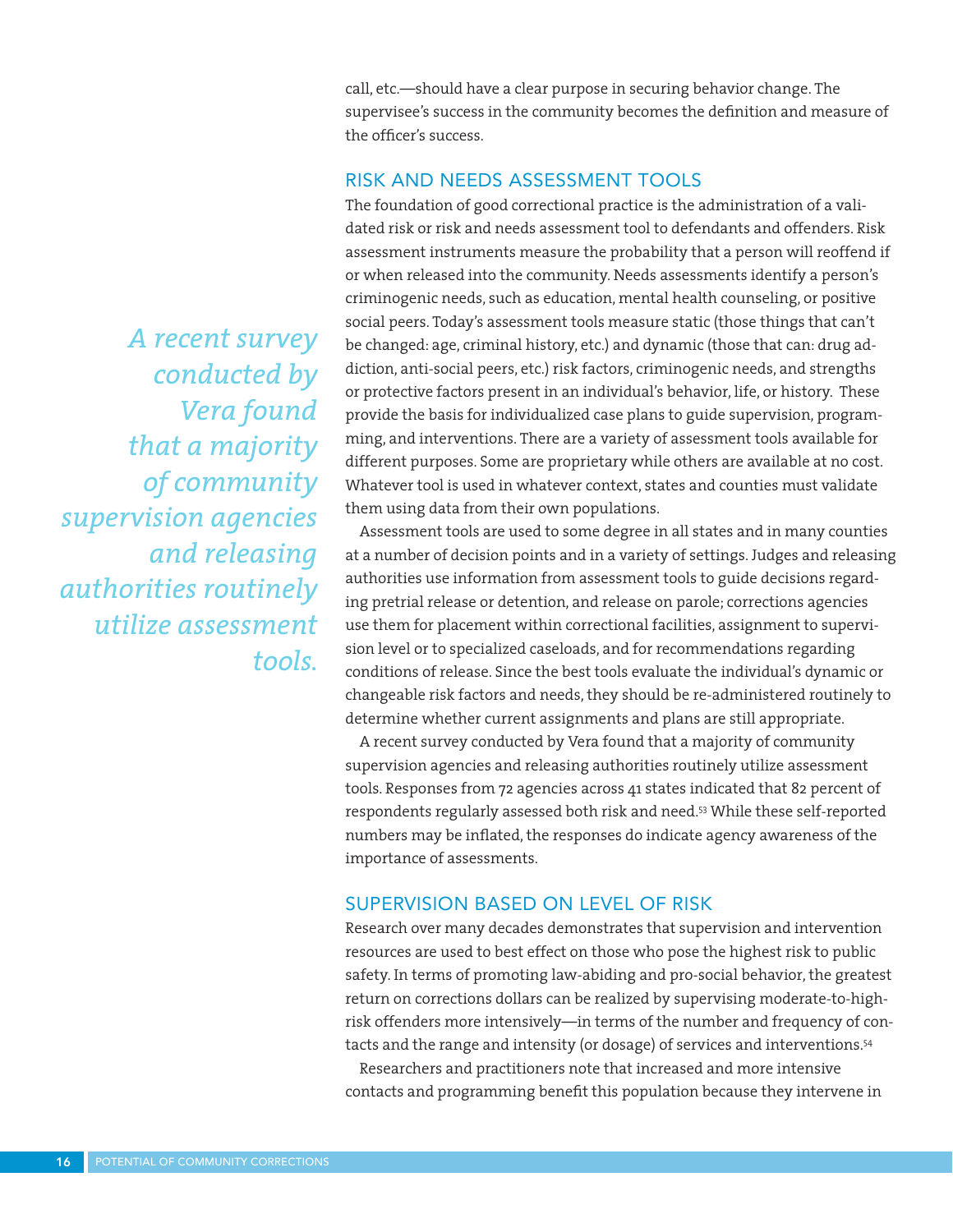call, etc.—should have a clear purpose in securing behavior change. The supervisee's success in the community becomes the definition and measure of the officer's success.

#### RISK AND NEEDS ASSESSMENT TOOLS

The foundation of good correctional practice is the administration of a validated risk or risk and needs assessment tool to defendants and offenders. Risk assessment instruments measure the probability that a person will reoffend if or when released into the community. Needs assessments identify a person's criminogenic needs, such as education, mental health counseling, or positive social peers. Today's assessment tools measure static (those things that can't be changed: age, criminal history, etc.) and dynamic (those that can: drug addiction, anti-social peers, etc.) risk factors, criminogenic needs, and strengths or protective factors present in an individual's behavior, life, or history. These provide the basis for individualized case plans to guide supervision, programming, and interventions. There are a variety of assessment tools available for different purposes. Some are proprietary while others are available at no cost. Whatever tool is used in whatever context, states and counties must validate them using data from their own populations.

Assessment tools are used to some degree in all states and in many counties at a number of decision points and in a variety of settings. Judges and releasing authorities use information from assessment tools to guide decisions regarding pretrial release or detention, and release on parole; corrections agencies use them for placement within correctional facilities, assignment to supervision level or to specialized caseloads, and for recommendations regarding conditions of release. Since the best tools evaluate the individual's dynamic or changeable risk factors and needs, they should be re-administered routinely to determine whether current assignments and plans are still appropriate.

A recent survey conducted by Vera found that a majority of community supervision agencies and releasing authorities routinely utilize assessment tools. Responses from 72 agencies across 41 states indicated that 82 percent of respondents regularly assessed both risk and need.53 While these self-reported numbers may be inflated, the responses do indicate agency awareness of the importance of assessments.

#### SUPERVISION BASED ON LEVEL OF RISK

Research over many decades demonstrates that supervision and intervention resources are used to best effect on those who pose the highest risk to public safety. In terms of promoting law-abiding and pro-social behavior, the greatest return on corrections dollars can be realized by supervising moderate-to-highrisk offenders more intensively—in terms of the number and frequency of contacts and the range and intensity (or dosage) of services and interventions.<sup>54</sup>

Researchers and practitioners note that increased and more intensive contacts and programming benefit this population because they intervene in

*A recent survey conducted by Vera found that a majority of community supervision agencies and releasing authorities routinely utilize assessment tools.*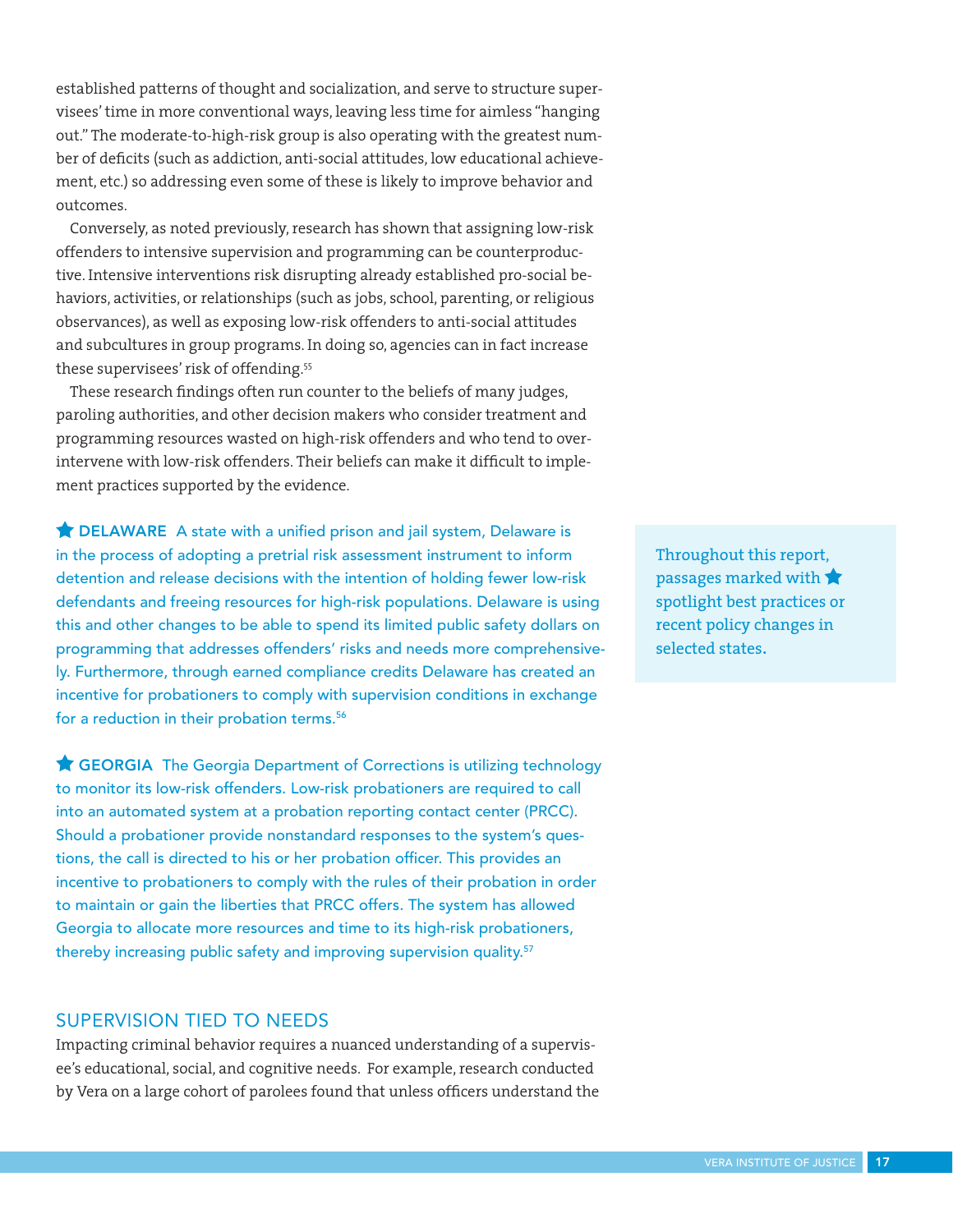established patterns of thought and socialization, and serve to structure supervisees' time in more conventional ways, leaving less time for aimless "hanging out." The moderate-to-high-risk group is also operating with the greatest number of deficits (such as addiction, anti-social attitudes, low educational achievement, etc.) so addressing even some of these is likely to improve behavior and outcomes.

Conversely, as noted previously, research has shown that assigning low-risk offenders to intensive supervision and programming can be counterproductive. Intensive interventions risk disrupting already established pro-social behaviors, activities, or relationships (such as jobs, school, parenting, or religious observances), as well as exposing low-risk offenders to anti-social attitudes and subcultures in group programs. In doing so, agencies can in fact increase these supervisees' risk of offending.<sup>55</sup>

These research findings often run counter to the beliefs of many judges, paroling authorities, and other decision makers who consider treatment and programming resources wasted on high-risk offenders and who tend to overintervene with low-risk offenders. Their beliefs can make it difficult to implement practices supported by the evidence.

**T** DELAWARE A state with a unified prison and jail system, Delaware is in the process of adopting a pretrial risk assessment instrument to inform detention and release decisions with the intention of holding fewer low-risk defendants and freeing resources for high-risk populations. Delaware is using this and other changes to be able to spend its limited public safety dollars on programming that addresses offenders' risks and needs more comprehensively. Furthermore, through earned compliance credits Delaware has created an incentive for probationers to comply with supervision conditions in exchange for a reduction in their probation terms.<sup>56</sup>

**The GEORGIA** The Georgia Department of Corrections is utilizing technology to monitor its low-risk offenders. Low-risk probationers are required to call into an automated system at a probation reporting contact center (PRCC). Should a probationer provide nonstandard responses to the system's questions, the call is directed to his or her probation officer. This provides an incentive to probationers to comply with the rules of their probation in order to maintain or gain the liberties that PRCC offers. The system has allowed Georgia to allocate more resources and time to its high-risk probationers, thereby increasing public safety and improving supervision quality.<sup>57</sup>

#### SUPERVISION TIED TO NEEDS

Impacting criminal behavior requires a nuanced understanding of a supervisee's educational, social, and cognitive needs. For example, research conducted by Vera on a large cohort of parolees found that unless officers understand the Throughout this report, passages marked with  $\bigstar$ spotlight best practices or recent policy changes in selected states.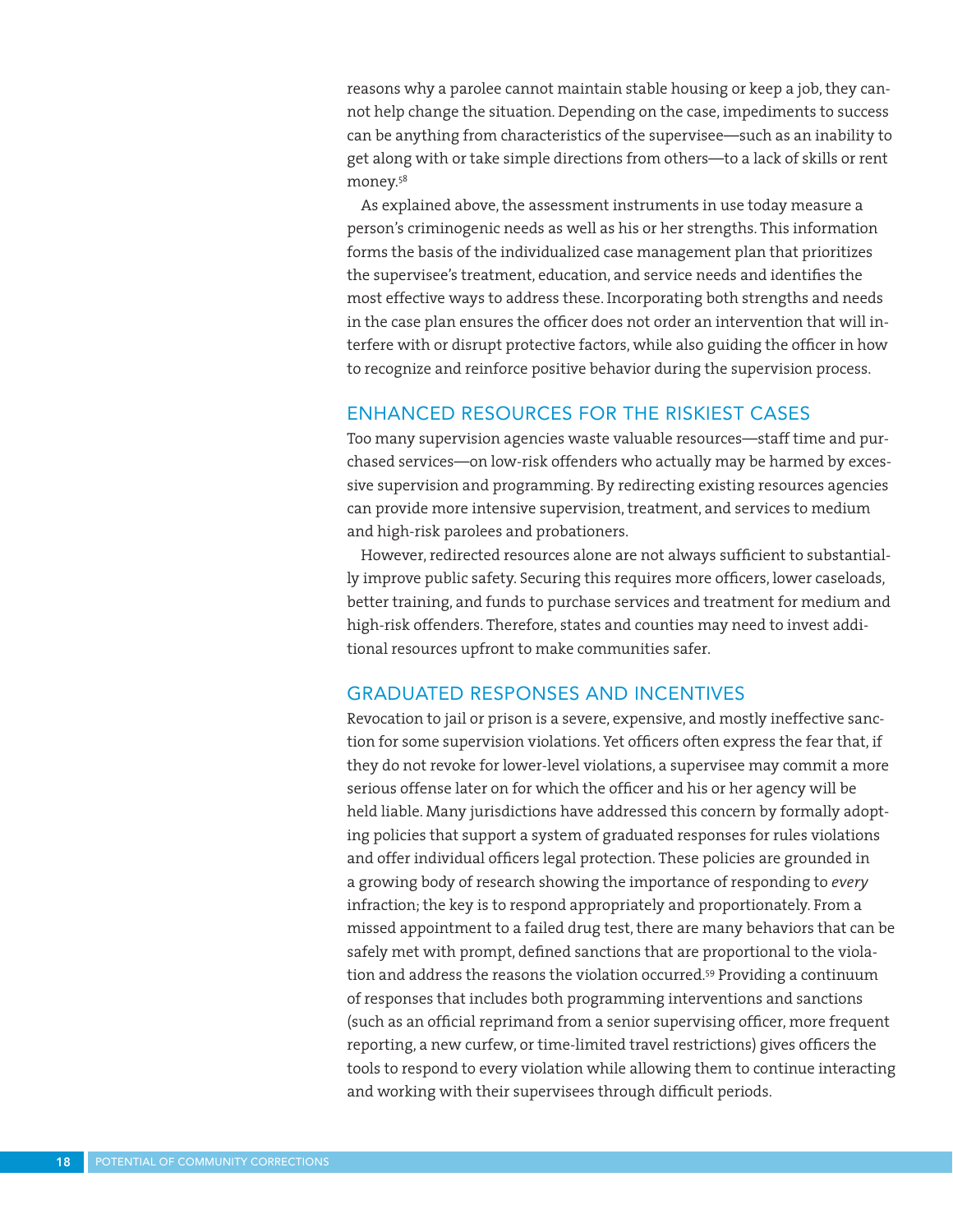reasons why a parolee cannot maintain stable housing or keep a job, they cannot help change the situation. Depending on the case, impediments to success can be anything from characteristics of the supervisee—such as an inability to get along with or take simple directions from others—to a lack of skills or rent money.58

As explained above, the assessment instruments in use today measure a person's criminogenic needs as well as his or her strengths. This information forms the basis of the individualized case management plan that prioritizes the supervisee's treatment, education, and service needs and identifies the most effective ways to address these. Incorporating both strengths and needs in the case plan ensures the officer does not order an intervention that will interfere with or disrupt protective factors, while also guiding the officer in how to recognize and reinforce positive behavior during the supervision process.

#### ENHANCED RESOURCES FOR THE RISKIEST CASES

Too many supervision agencies waste valuable resources—staff time and purchased services—on low-risk offenders who actually may be harmed by excessive supervision and programming. By redirecting existing resources agencies can provide more intensive supervision, treatment, and services to medium and high-risk parolees and probationers.

However, redirected resources alone are not always sufficient to substantially improve public safety. Securing this requires more officers, lower caseloads, better training, and funds to purchase services and treatment for medium and high-risk offenders. Therefore, states and counties may need to invest additional resources upfront to make communities safer.

#### GRADUATED RESPONSES AND INCENTIVES

Revocation to jail or prison is a severe, expensive, and mostly ineffective sanction for some supervision violations. Yet officers often express the fear that, if they do not revoke for lower-level violations, a supervisee may commit a more serious offense later on for which the officer and his or her agency will be held liable. Many jurisdictions have addressed this concern by formally adopting policies that support a system of graduated responses for rules violations and offer individual officers legal protection. These policies are grounded in a growing body of research showing the importance of responding to *every* infraction; the key is to respond appropriately and proportionately. From a missed appointment to a failed drug test, there are many behaviors that can be safely met with prompt, defined sanctions that are proportional to the violation and address the reasons the violation occurred.59 Providing a continuum of responses that includes both programming interventions and sanctions (such as an official reprimand from a senior supervising officer, more frequent reporting, a new curfew, or time-limited travel restrictions) gives officers the tools to respond to every violation while allowing them to continue interacting and working with their supervisees through difficult periods.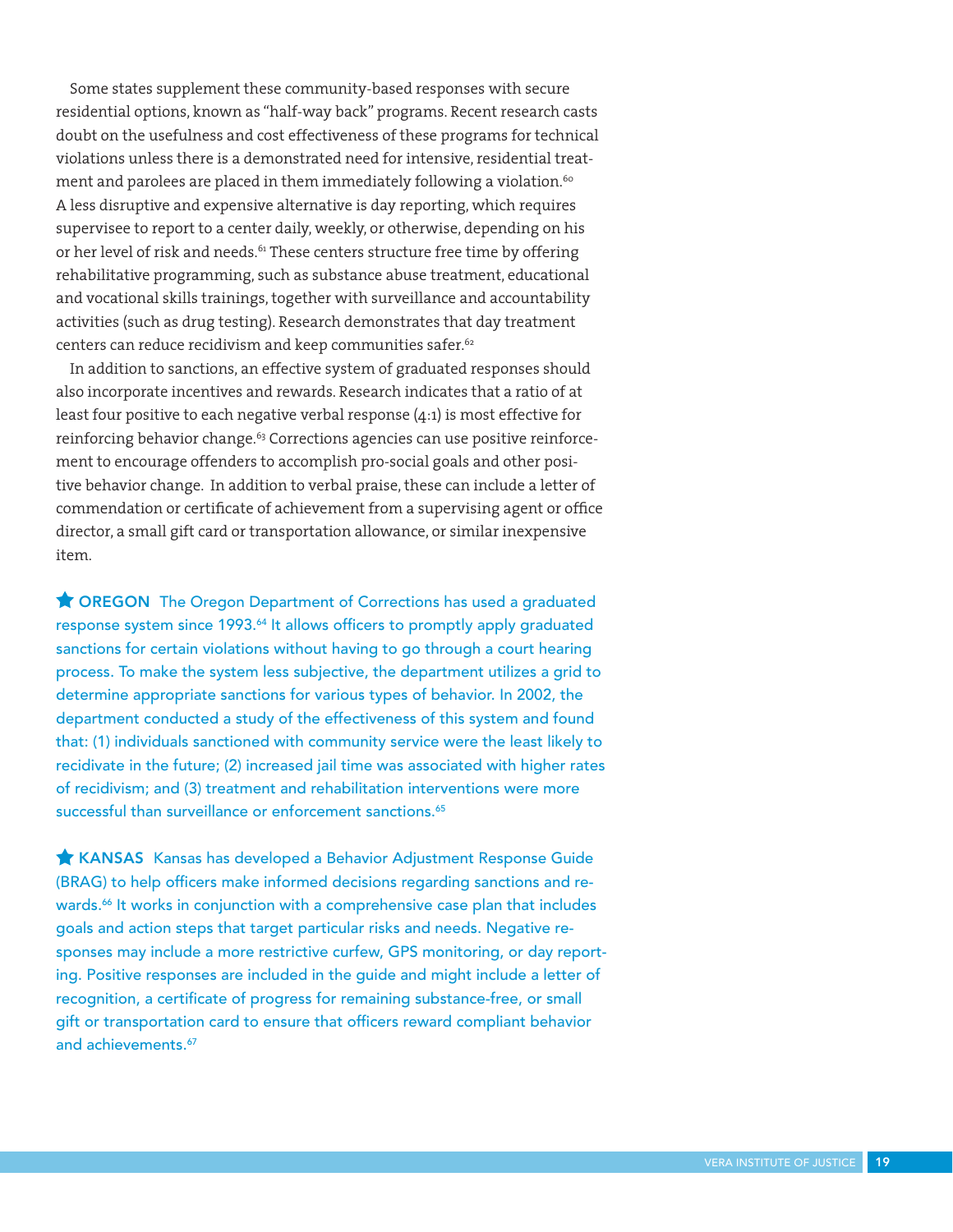Some states supplement these community-based responses with secure residential options, known as "half-way back" programs. Recent research casts doubt on the usefulness and cost effectiveness of these programs for technical violations unless there is a demonstrated need for intensive, residential treatment and parolees are placed in them immediately following a violation.<sup>60</sup> A less disruptive and expensive alternative is day reporting, which requires supervisee to report to a center daily, weekly, or otherwise, depending on his or her level of risk and needs.<sup>61</sup> These centers structure free time by offering rehabilitative programming, such as substance abuse treatment, educational and vocational skills trainings, together with surveillance and accountability activities (such as drug testing). Research demonstrates that day treatment centers can reduce recidivism and keep communities safer.<sup>62</sup>

In addition to sanctions, an effective system of graduated responses should also incorporate incentives and rewards. Research indicates that a ratio of at least four positive to each negative verbal response (4:1) is most effective for reinforcing behavior change.<sup>63</sup> Corrections agencies can use positive reinforcement to encourage offenders to accomplish pro-social goals and other positive behavior change. In addition to verbal praise, these can include a letter of commendation or certificate of achievement from a supervising agent or office director, a small gift card or transportation allowance, or similar inexpensive item.

 OREGON The Oregon Department of Corrections has used a graduated response system since 1993.<sup>64</sup> It allows officers to promptly apply graduated sanctions for certain violations without having to go through a court hearing process. To make the system less subjective, the department utilizes a grid to determine appropriate sanctions for various types of behavior. In 2002, the department conducted a study of the effectiveness of this system and found that: (1) individuals sanctioned with community service were the least likely to recidivate in the future; (2) increased jail time was associated with higher rates of recidivism; and (3) treatment and rehabilitation interventions were more successful than surveillance or enforcement sanctions.<sup>65</sup>

 KANSAS Kansas has developed a Behavior Adjustment Response Guide (BRAG) to help officers make informed decisions regarding sanctions and rewards.<sup>66</sup> It works in conjunction with a comprehensive case plan that includes goals and action steps that target particular risks and needs. Negative responses may include a more restrictive curfew, GPS monitoring, or day reporting. Positive responses are included in the guide and might include a letter of recognition, a certificate of progress for remaining substance-free, or small gift or transportation card to ensure that officers reward compliant behavior and achievements.<sup>67</sup>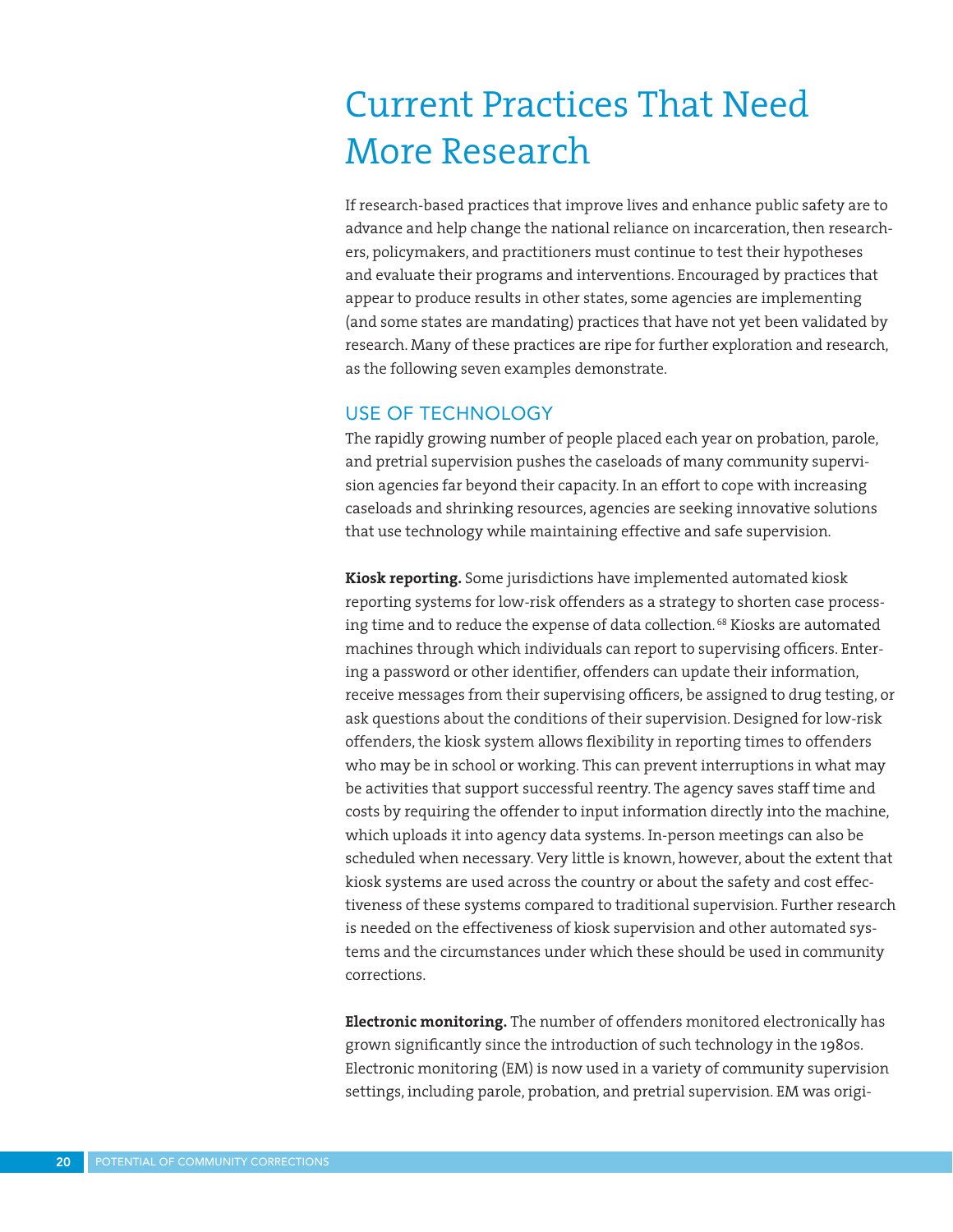# Current Practices That Need More Research

If research-based practices that improve lives and enhance public safety are to advance and help change the national reliance on incarceration, then researchers, policymakers, and practitioners must continue to test their hypotheses and evaluate their programs and interventions. Encouraged by practices that appear to produce results in other states, some agencies are implementing (and some states are mandating) practices that have not yet been validated by research. Many of these practices are ripe for further exploration and research, as the following seven examples demonstrate.

#### USE OF TECHNOLOGY

The rapidly growing number of people placed each year on probation, parole, and pretrial supervision pushes the caseloads of many community supervision agencies far beyond their capacity. In an effort to cope with increasing caseloads and shrinking resources, agencies are seeking innovative solutions that use technology while maintaining effective and safe supervision.

**Kiosk reporting.** Some jurisdictions have implemented automated kiosk reporting systems for low-risk offenders as a strategy to shorten case processing time and to reduce the expense of data collection.<sup>68</sup> Kiosks are automated machines through which individuals can report to supervising officers. Entering a password or other identifier, offenders can update their information, receive messages from their supervising officers, be assigned to drug testing, or ask questions about the conditions of their supervision. Designed for low-risk offenders, the kiosk system allows flexibility in reporting times to offenders who may be in school or working. This can prevent interruptions in what may be activities that support successful reentry. The agency saves staff time and costs by requiring the offender to input information directly into the machine, which uploads it into agency data systems. In-person meetings can also be scheduled when necessary. Very little is known, however, about the extent that kiosk systems are used across the country or about the safety and cost effectiveness of these systems compared to traditional supervision. Further research is needed on the effectiveness of kiosk supervision and other automated systems and the circumstances under which these should be used in community corrections.

**Electronic monitoring.** The number of offenders monitored electronically has grown significantly since the introduction of such technology in the 1980s. Electronic monitoring (EM) is now used in a variety of community supervision settings, including parole, probation, and pretrial supervision. EM was origi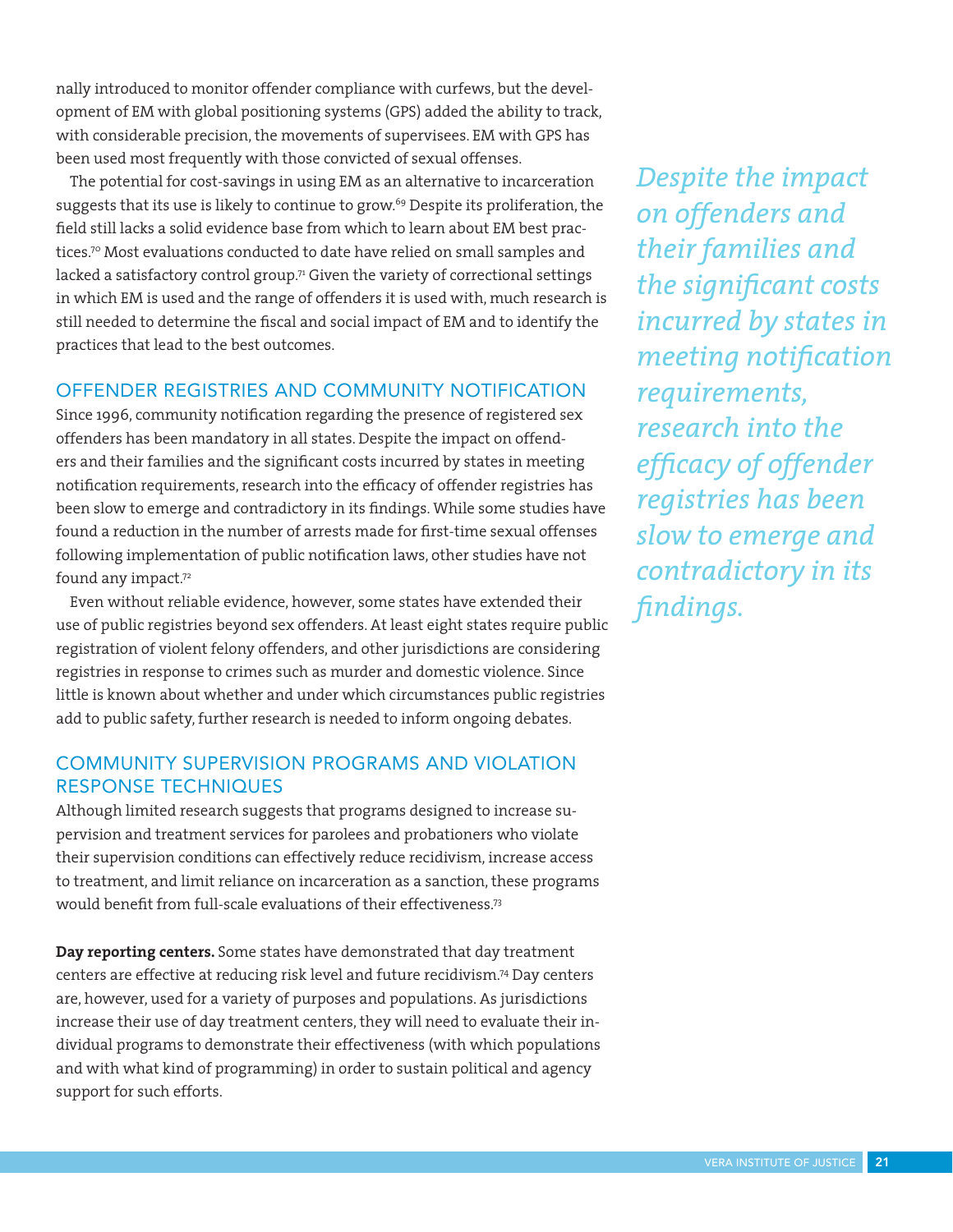nally introduced to monitor offender compliance with curfews, but the development of EM with global positioning systems (GPS) added the ability to track, with considerable precision, the movements of supervisees. EM with GPS has been used most frequently with those convicted of sexual offenses.

The potential for cost-savings in using EM as an alternative to incarceration suggests that its use is likely to continue to grow.<sup>69</sup> Despite its proliferation, the field still lacks a solid evidence base from which to learn about EM best practices.<sup>70</sup> Most evaluations conducted to date have relied on small samples and lacked a satisfactory control group.<sup> $n$ </sup> Given the variety of correctional settings in which EM is used and the range of offenders it is used with, much research is still needed to determine the fiscal and social impact of EM and to identify the practices that lead to the best outcomes.

#### OFFENDER REGISTRIES AND COMMUNITY NOTIFICATION

Since 1996, community notification regarding the presence of registered sex offenders has been mandatory in all states. Despite the impact on offenders and their families and the significant costs incurred by states in meeting notification requirements, research into the efficacy of offender registries has been slow to emerge and contradictory in its findings. While some studies have found a reduction in the number of arrests made for first-time sexual offenses following implementation of public notification laws, other studies have not found any impact.72

Even without reliable evidence, however, some states have extended their use of public registries beyond sex offenders. At least eight states require public registration of violent felony offenders, and other jurisdictions are considering registries in response to crimes such as murder and domestic violence. Since little is known about whether and under which circumstances public registries add to public safety, further research is needed to inform ongoing debates.

#### COMMUNITY SUPERVISION PROGRAMS AND VIOLATION RESPONSE TECHNIQUES

Although limited research suggests that programs designed to increase supervision and treatment services for parolees and probationers who violate their supervision conditions can effectively reduce recidivism, increase access to treatment, and limit reliance on incarceration as a sanction, these programs would benefit from full-scale evaluations of their effectiveness.73

**Day reporting centers.** Some states have demonstrated that day treatment centers are effective at reducing risk level and future recidivism.74 Day centers are, however, used for a variety of purposes and populations. As jurisdictions increase their use of day treatment centers, they will need to evaluate their individual programs to demonstrate their effectiveness (with which populations and with what kind of programming) in order to sustain political and agency support for such efforts.

*Despite the impact on offenders and their families and the significant costs incurred by states in meeting notification requirements, research into the efficacy of offender registries has been slow to emerge and contradictory in its findings.*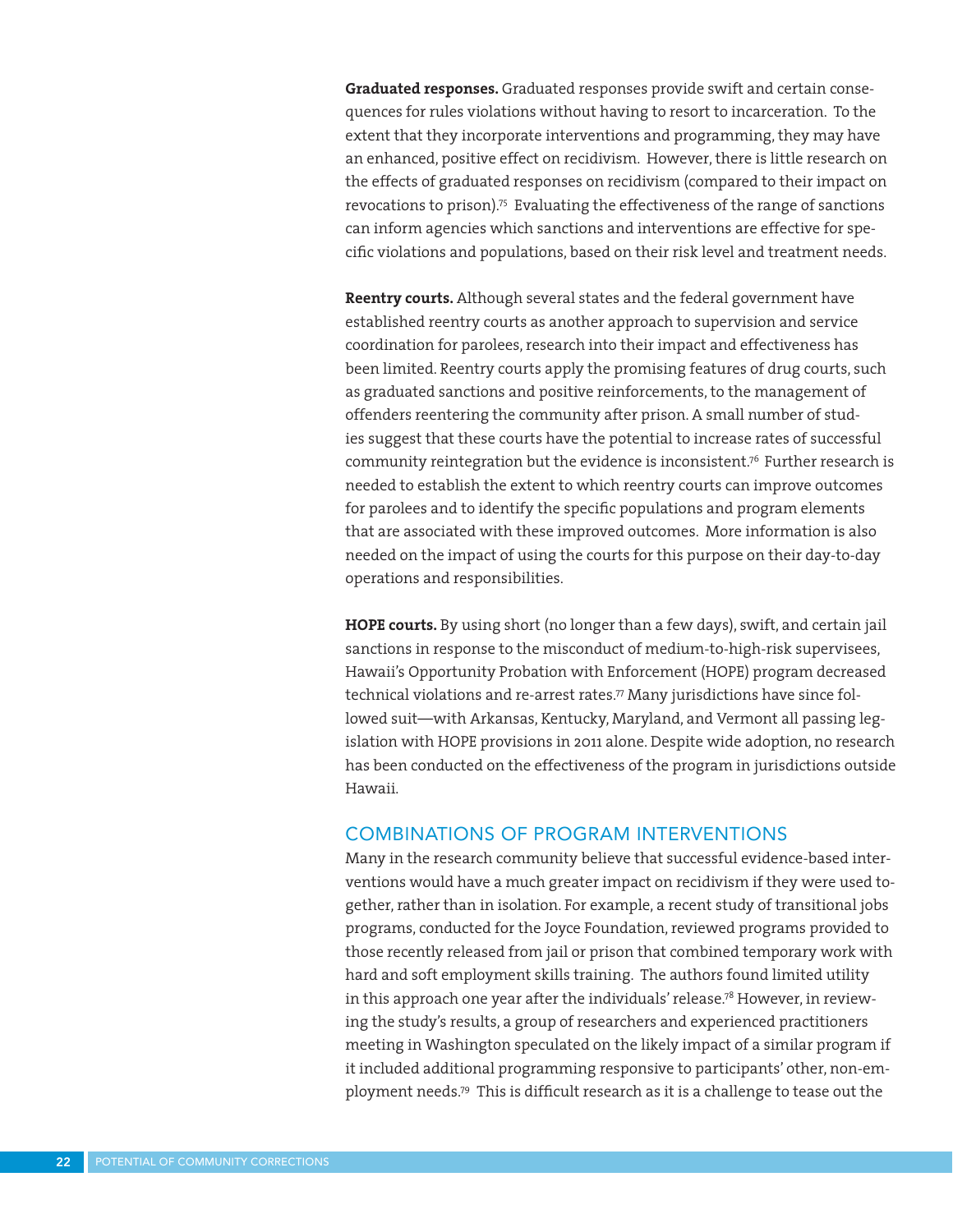**Graduated responses.** Graduated responses provide swift and certain consequences for rules violations without having to resort to incarceration. To the extent that they incorporate interventions and programming, they may have an enhanced, positive effect on recidivism. However, there is little research on the effects of graduated responses on recidivism (compared to their impact on revocations to prison).<sup>75</sup> Evaluating the effectiveness of the range of sanctions can inform agencies which sanctions and interventions are effective for specific violations and populations, based on their risk level and treatment needs.

**Reentry courts.** Although several states and the federal government have established reentry courts as another approach to supervision and service coordination for parolees, research into their impact and effectiveness has been limited. Reentry courts apply the promising features of drug courts, such as graduated sanctions and positive reinforcements, to the management of offenders reentering the community after prison. A small number of studies suggest that these courts have the potential to increase rates of successful community reintegration but the evidence is inconsistent.76 Further research is needed to establish the extent to which reentry courts can improve outcomes for parolees and to identify the specific populations and program elements that are associated with these improved outcomes. More information is also needed on the impact of using the courts for this purpose on their day-to-day operations and responsibilities.

**HOPE courts.** By using short (no longer than a few days), swift, and certain jail sanctions in response to the misconduct of medium-to-high-risk supervisees, Hawaii's Opportunity Probation with Enforcement (HOPE) program decreased technical violations and re-arrest rates. $\pi$  Many jurisdictions have since followed suit—with Arkansas, Kentucky, Maryland, and Vermont all passing legislation with HOPE provisions in 2011 alone. Despite wide adoption, no research has been conducted on the effectiveness of the program in jurisdictions outside Hawaii.

#### COMBINATIONS OF PROGRAM INTERVENTIONS

Many in the research community believe that successful evidence-based interventions would have a much greater impact on recidivism if they were used together, rather than in isolation. For example, a recent study of transitional jobs programs, conducted for the Joyce Foundation, reviewed programs provided to those recently released from jail or prison that combined temporary work with hard and soft employment skills training. The authors found limited utility in this approach one year after the individuals' release.78 However, in reviewing the study's results, a group of researchers and experienced practitioners meeting in Washington speculated on the likely impact of a similar program if it included additional programming responsive to participants' other, non-employment needs.79 This is difficult research as it is a challenge to tease out the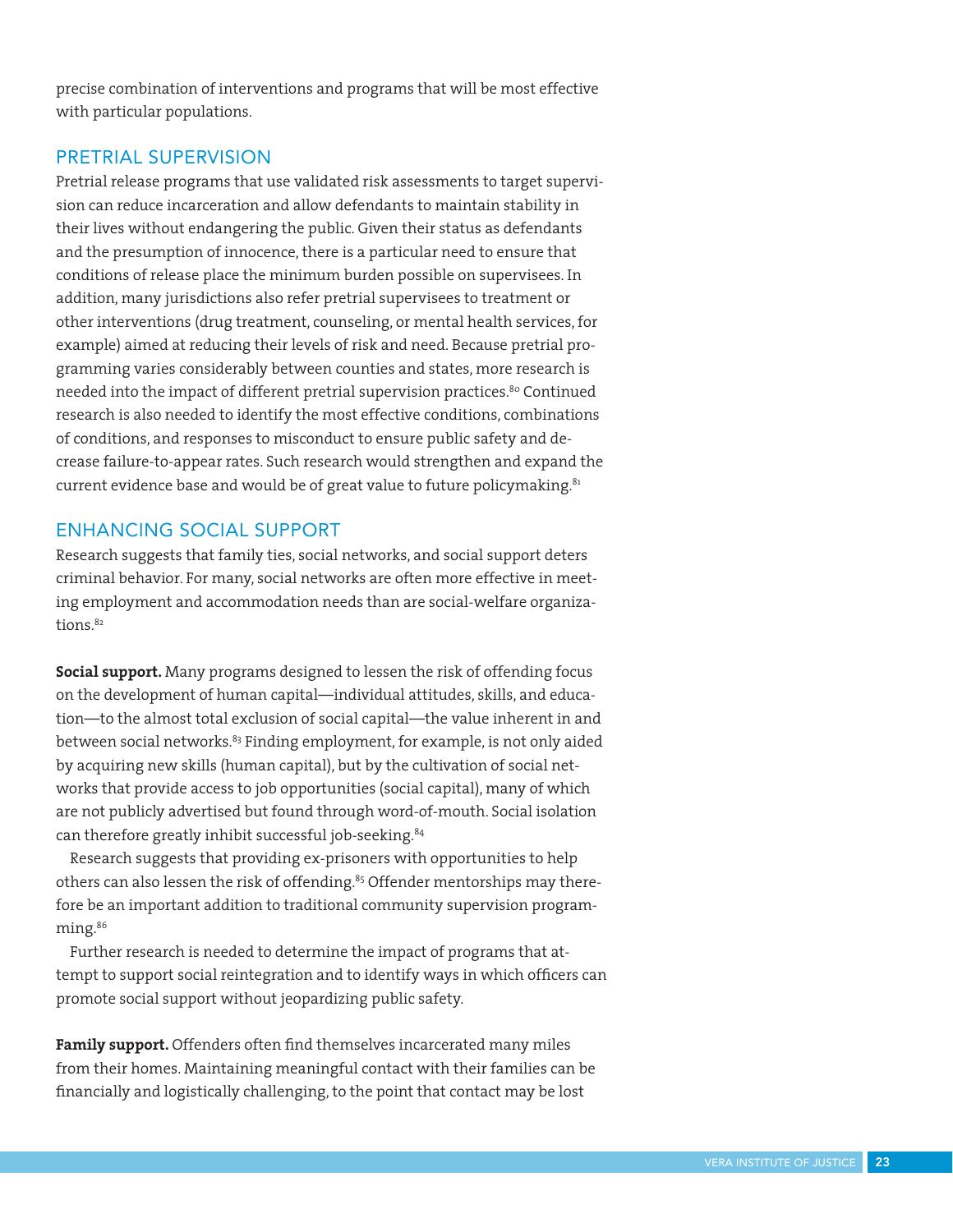precise combination of interventions and programs that will be most effective with particular populations.

#### PRETRIAL SUPERVISION

Pretrial release programs that use validated risk assessments to target supervision can reduce incarceration and allow defendants to maintain stability in their lives without endangering the public. Given their status as defendants and the presumption of innocence, there is a particular need to ensure that conditions of release place the minimum burden possible on supervisees. In addition, many jurisdictions also refer pretrial supervisees to treatment or other interventions (drug treatment, counseling, or mental health services, for example) aimed at reducing their levels of risk and need. Because pretrial programming varies considerably between counties and states, more research is needed into the impact of different pretrial supervision practices.<sup>80</sup> Continued research is also needed to identify the most effective conditions, combinations of conditions, and responses to misconduct to ensure public safety and decrease failure-to-appear rates. Such research would strengthen and expand the current evidence base and would be of great value to future policymaking.<sup>81</sup>

#### ENHANCING SOCIAL SUPPORT

Research suggests that family ties, social networks, and social support deters criminal behavior. For many, social networks are often more effective in meeting employment and accommodation needs than are social-welfare organizations<sup>82</sup>

**Social support.** Many programs designed to lessen the risk of offending focus on the development of human capital—individual attitudes, skills, and education—to the almost total exclusion of social capital—the value inherent in and between social networks.<sup>83</sup> Finding employment, for example, is not only aided by acquiring new skills (human capital), but by the cultivation of social networks that provide access to job opportunities (social capital), many of which are not publicly advertised but found through word-of-mouth. Social isolation can therefore greatly inhibit successful job-seeking.<sup>84</sup>

Research suggests that providing ex-prisoners with opportunities to help others can also lessen the risk of offending.<sup>85</sup> Offender mentorships may therefore be an important addition to traditional community supervision programming.<sup>86</sup>

Further research is needed to determine the impact of programs that attempt to support social reintegration and to identify ways in which officers can promote social support without jeopardizing public safety.

**Family support.** Offenders often find themselves incarcerated many miles from their homes. Maintaining meaningful contact with their families can be financially and logistically challenging, to the point that contact may be lost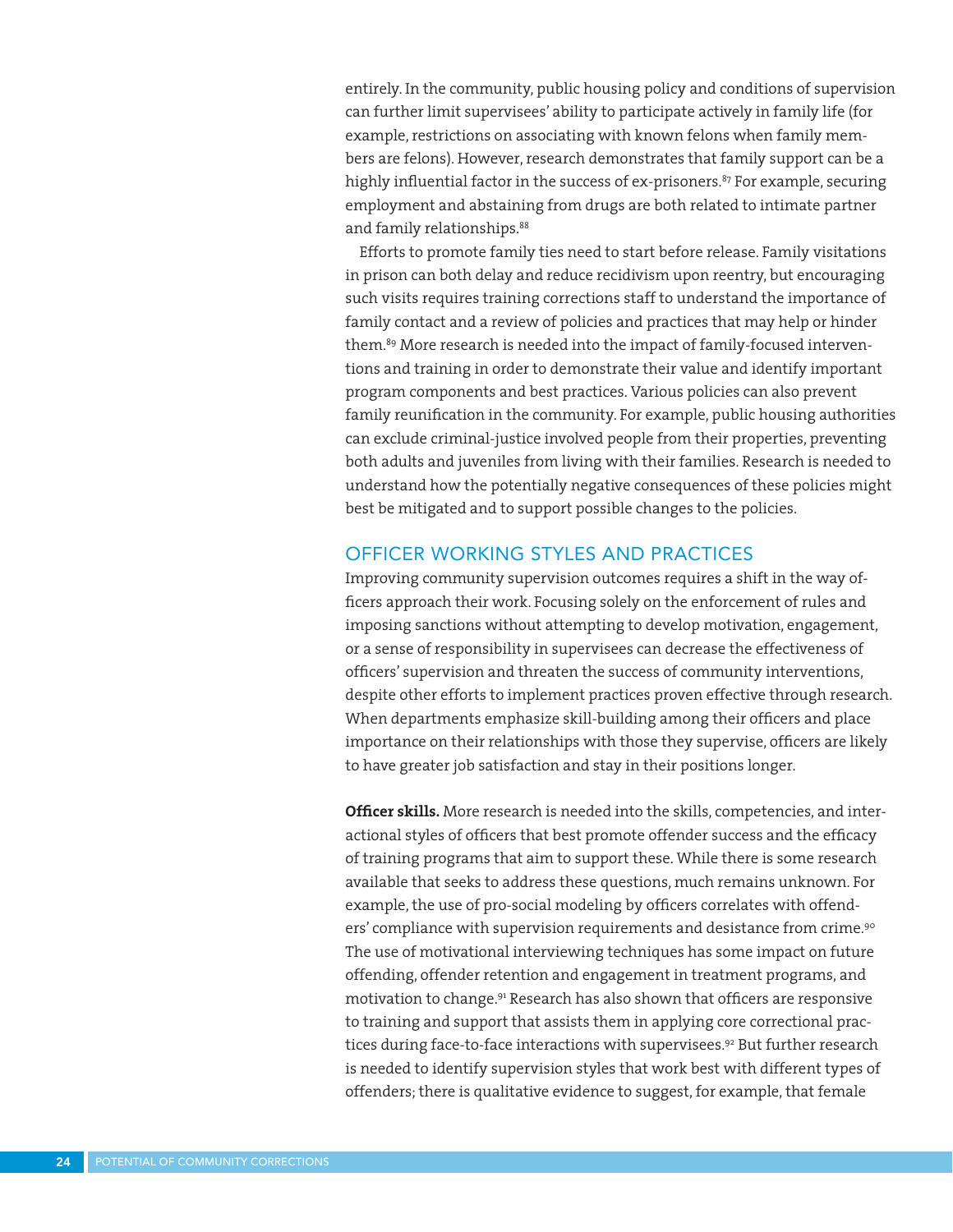entirely. In the community, public housing policy and conditions of supervision can further limit supervisees' ability to participate actively in family life (for example, restrictions on associating with known felons when family members are felons). However, research demonstrates that family support can be a highly influential factor in the success of ex-prisoners.<sup>87</sup> For example, securing employment and abstaining from drugs are both related to intimate partner and family relationships.<sup>88</sup>

Efforts to promote family ties need to start before release. Family visitations in prison can both delay and reduce recidivism upon reentry, but encouraging such visits requires training corrections staff to understand the importance of family contact and a review of policies and practices that may help or hinder them.<sup>89</sup> More research is needed into the impact of family-focused interventions and training in order to demonstrate their value and identify important program components and best practices. Various policies can also prevent family reunification in the community. For example, public housing authorities can exclude criminal-justice involved people from their properties, preventing both adults and juveniles from living with their families. Research is needed to understand how the potentially negative consequences of these policies might best be mitigated and to support possible changes to the policies.

#### OFFICER WORKING STYLES AND PRACTICES

Improving community supervision outcomes requires a shift in the way officers approach their work. Focusing solely on the enforcement of rules and imposing sanctions without attempting to develop motivation, engagement, or a sense of responsibility in supervisees can decrease the effectiveness of officers' supervision and threaten the success of community interventions, despite other efforts to implement practices proven effective through research. When departments emphasize skill-building among their officers and place importance on their relationships with those they supervise, officers are likely to have greater job satisfaction and stay in their positions longer.

**Officer skills.** More research is needed into the skills, competencies, and interactional styles of officers that best promote offender success and the efficacy of training programs that aim to support these. While there is some research available that seeks to address these questions, much remains unknown. For example, the use of pro-social modeling by officers correlates with offenders' compliance with supervision requirements and desistance from crime.<sup>90</sup> The use of motivational interviewing techniques has some impact on future offending, offender retention and engagement in treatment programs, and motivation to change.91 Research has also shown that officers are responsive to training and support that assists them in applying core correctional practices during face-to-face interactions with supervisees.<sup>92</sup> But further research is needed to identify supervision styles that work best with different types of offenders; there is qualitative evidence to suggest, for example, that female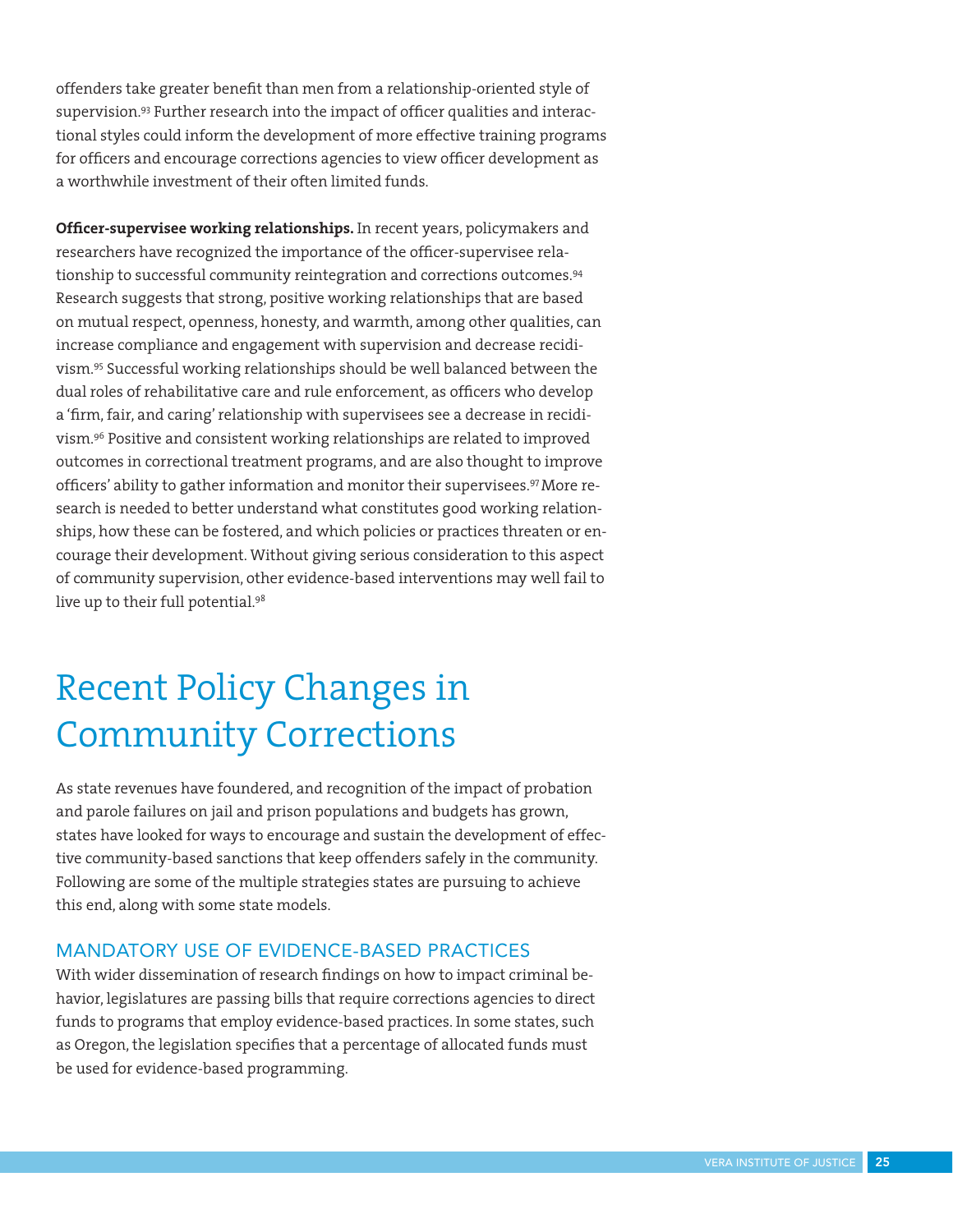offenders take greater benefit than men from a relationship-oriented style of supervision.93 Further research into the impact of officer qualities and interactional styles could inform the development of more effective training programs for officers and encourage corrections agencies to view officer development as a worthwhile investment of their often limited funds.

**Officer-supervisee working relationships.** In recent years, policymakers and researchers have recognized the importance of the officer-supervisee relationship to successful community reintegration and corrections outcomes.<sup>94</sup> Research suggests that strong, positive working relationships that are based on mutual respect, openness, honesty, and warmth, among other qualities, can increase compliance and engagement with supervision and decrease recidivism.95 Successful working relationships should be well balanced between the dual roles of rehabilitative care and rule enforcement, as officers who develop a 'firm, fair, and caring' relationship with supervisees see a decrease in recidivism.96 Positive and consistent working relationships are related to improved outcomes in correctional treatment programs, and are also thought to improve officers' ability to gather information and monitor their supervisees.<sup>97</sup> More research is needed to better understand what constitutes good working relationships, how these can be fostered, and which policies or practices threaten or encourage their development. Without giving serious consideration to this aspect of community supervision, other evidence-based interventions may well fail to live up to their full potential.<sup>98</sup>

# Recent Policy Changes in Community Corrections

As state revenues have foundered, and recognition of the impact of probation and parole failures on jail and prison populations and budgets has grown, states have looked for ways to encourage and sustain the development of effective community-based sanctions that keep offenders safely in the community. Following are some of the multiple strategies states are pursuing to achieve this end, along with some state models.

#### MANDATORY USE OF EVIDENCE-BASED PRACTICES

With wider dissemination of research findings on how to impact criminal behavior, legislatures are passing bills that require corrections agencies to direct funds to programs that employ evidence-based practices. In some states, such as Oregon, the legislation specifies that a percentage of allocated funds must be used for evidence-based programming.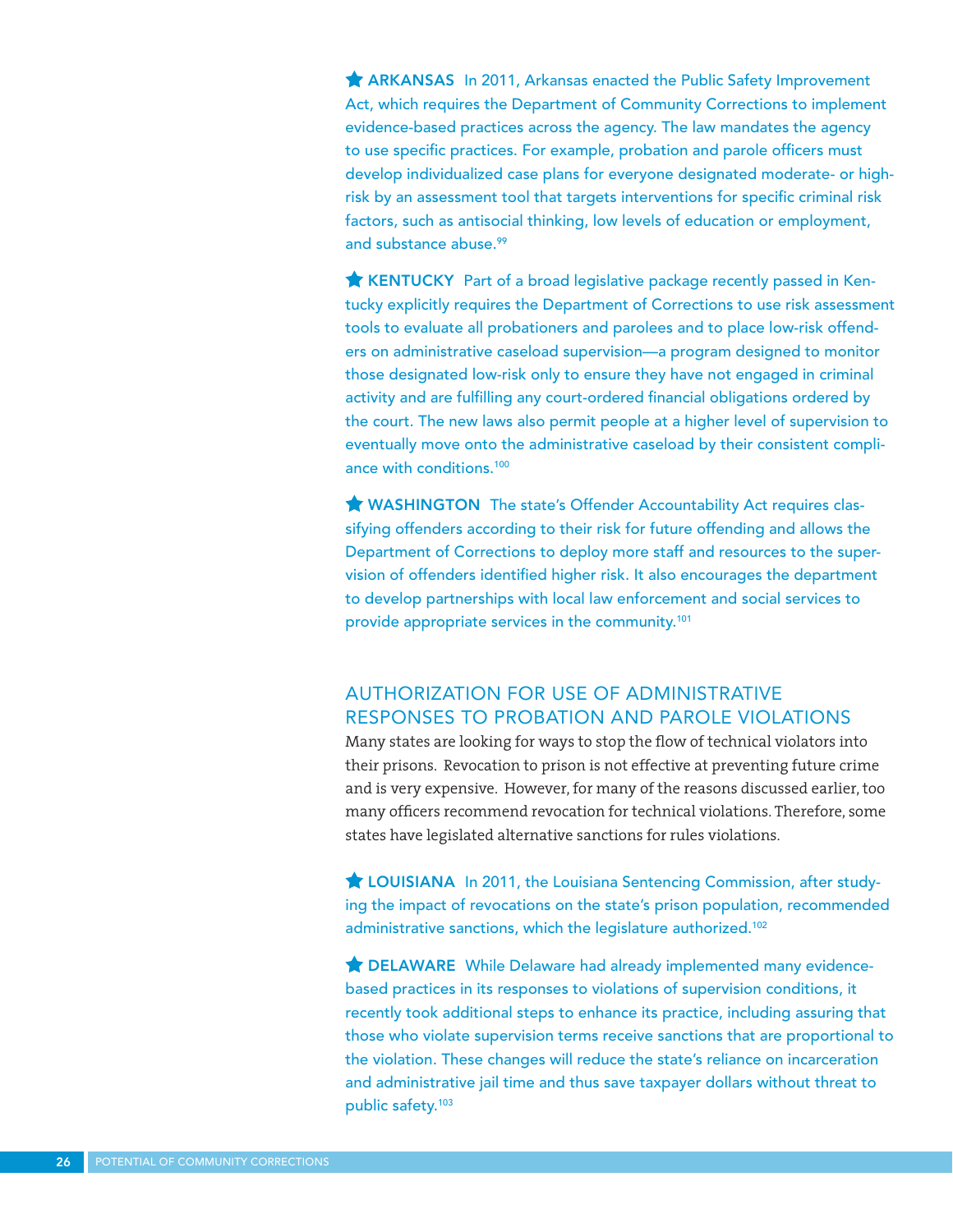**ARKANSAS** In 2011, Arkansas enacted the Public Safety Improvement Act, which requires the Department of Community Corrections to implement evidence-based practices across the agency. The law mandates the agency to use specific practices. For example, probation and parole officers must develop individualized case plans for everyone designated moderate- or highrisk by an assessment tool that targets interventions for specific criminal risk factors, such as antisocial thinking, low levels of education or employment, and substance abuse.<sup>99</sup>

**KENTUCKY** Part of a broad legislative package recently passed in Kentucky explicitly requires the Department of Corrections to use risk assessment tools to evaluate all probationers and parolees and to place low-risk offenders on administrative caseload supervision—a program designed to monitor those designated low-risk only to ensure they have not engaged in criminal activity and are fulfilling any court-ordered financial obligations ordered by the court. The new laws also permit people at a higher level of supervision to eventually move onto the administrative caseload by their consistent compliance with conditions.100

 WASHINGTON The state's Offender Accountability Act requires classifying offenders according to their risk for future offending and allows the Department of Corrections to deploy more staff and resources to the supervision of offenders identified higher risk. It also encourages the department to develop partnerships with local law enforcement and social services to provide appropriate services in the community.<sup>101</sup>

#### AUTHORIZATION FOR USE OF ADMINISTRATIVE RESPONSES TO PROBATION AND PAROLE VIOLATIONS

Many states are looking for ways to stop the flow of technical violators into their prisons. Revocation to prison is not effective at preventing future crime and is very expensive. However, for many of the reasons discussed earlier, too many officers recommend revocation for technical violations. Therefore, some states have legislated alternative sanctions for rules violations.

**COUISIANA** In 2011, the Louisiana Sentencing Commission, after studying the impact of revocations on the state's prison population, recommended administrative sanctions, which the legislature authorized.<sup>102</sup>

**The DELAWARE** While Delaware had already implemented many evidencebased practices in its responses to violations of supervision conditions, it recently took additional steps to enhance its practice, including assuring that those who violate supervision terms receive sanctions that are proportional to the violation. These changes will reduce the state's reliance on incarceration and administrative jail time and thus save taxpayer dollars without threat to public safety.103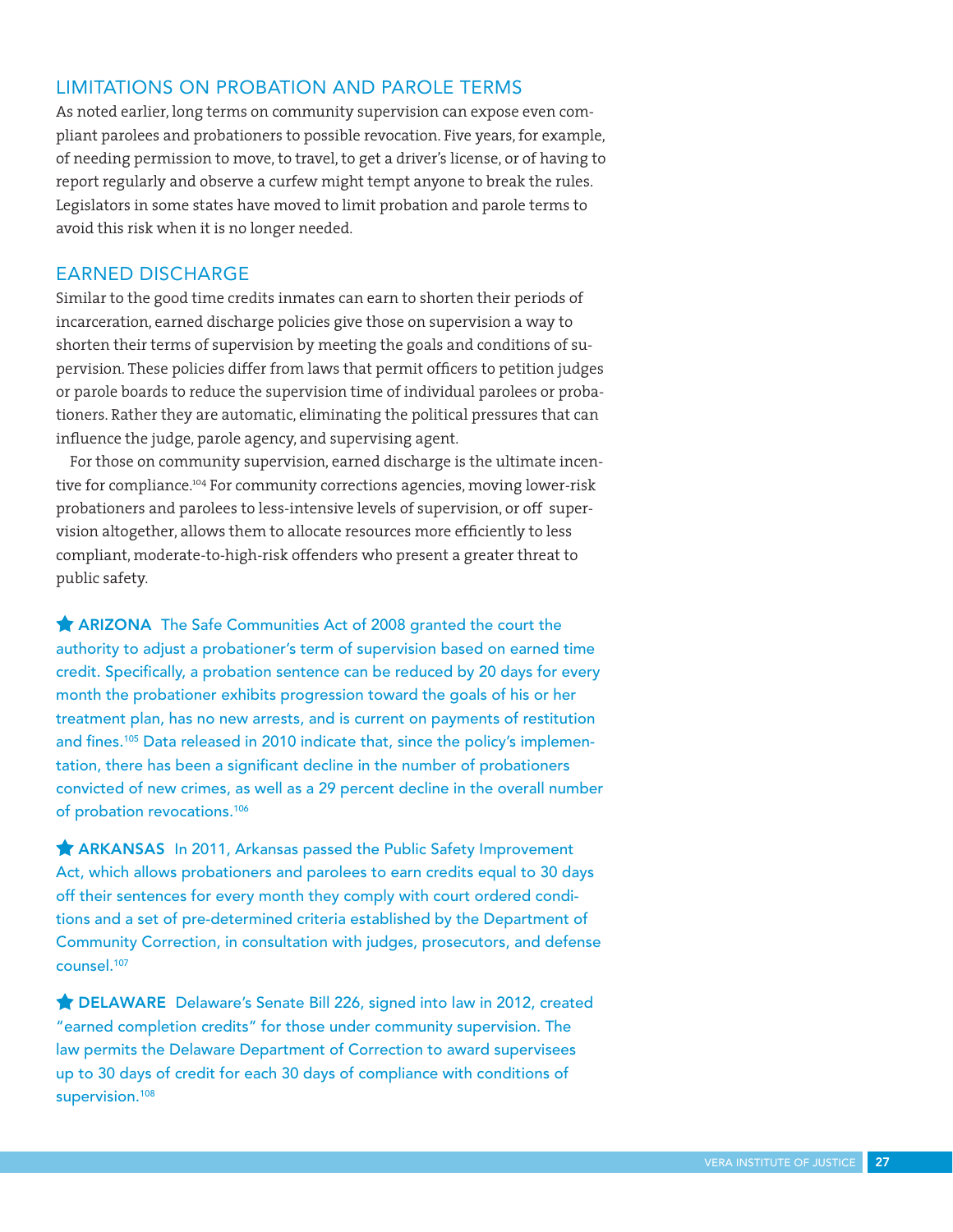#### LIMITATIONS ON PROBATION AND PAROLE TERMS

As noted earlier, long terms on community supervision can expose even compliant parolees and probationers to possible revocation. Five years, for example, of needing permission to move, to travel, to get a driver's license, or of having to report regularly and observe a curfew might tempt anyone to break the rules. Legislators in some states have moved to limit probation and parole terms to avoid this risk when it is no longer needed.

#### EARNED DISCHARGE

Similar to the good time credits inmates can earn to shorten their periods of incarceration, earned discharge policies give those on supervision a way to shorten their terms of supervision by meeting the goals and conditions of supervision. These policies differ from laws that permit officers to petition judges or parole boards to reduce the supervision time of individual parolees or probationers. Rather they are automatic, eliminating the political pressures that can influence the judge, parole agency, and supervising agent.

For those on community supervision, earned discharge is the ultimate incentive for compliance.<sup>104</sup> For community corrections agencies, moving lower-risk probationers and parolees to less-intensive levels of supervision, or off supervision altogether, allows them to allocate resources more efficiently to less compliant, moderate-to-high-risk offenders who present a greater threat to public safety.

**ARIZONA** The Safe Communities Act of 2008 granted the court the authority to adjust a probationer's term of supervision based on earned time credit. Specifically, a probation sentence can be reduced by 20 days for every month the probationer exhibits progression toward the goals of his or her treatment plan, has no new arrests, and is current on payments of restitution and fines.<sup>105</sup> Data released in 2010 indicate that, since the policy's implementation, there has been a significant decline in the number of probationers convicted of new crimes, as well as a 29 percent decline in the overall number of probation revocations.<sup>106</sup>

ARKANSAS In 2011, Arkansas passed the Public Safety Improvement Act, which allows probationers and parolees to earn credits equal to 30 days off their sentences for every month they comply with court ordered conditions and a set of pre-determined criteria established by the Department of Community Correction, in consultation with judges, prosecutors, and defense counsel.107

DELAWARE Delaware's Senate Bill 226, signed into law in 2012, created "earned completion credits" for those under community supervision. The law permits the Delaware Department of Correction to award supervisees up to 30 days of credit for each 30 days of compliance with conditions of supervision.<sup>108</sup>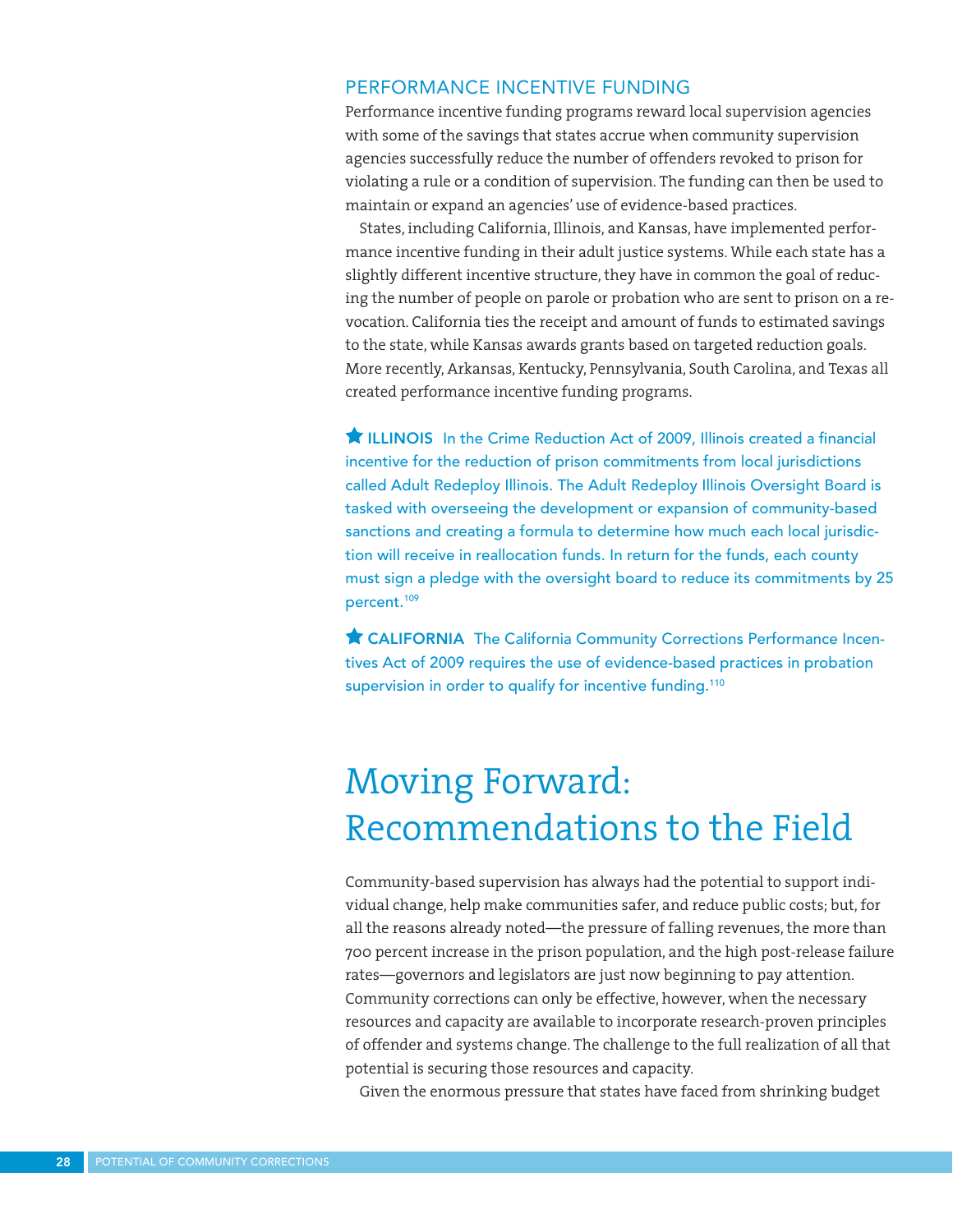#### PERFORMANCE INCENTIVE FUNDING

Performance incentive funding programs reward local supervision agencies with some of the savings that states accrue when community supervision agencies successfully reduce the number of offenders revoked to prison for violating a rule or a condition of supervision. The funding can then be used to maintain or expand an agencies' use of evidence-based practices.

States, including California, Illinois, and Kansas, have implemented performance incentive funding in their adult justice systems. While each state has a slightly different incentive structure, they have in common the goal of reducing the number of people on parole or probation who are sent to prison on a revocation. California ties the receipt and amount of funds to estimated savings to the state, while Kansas awards grants based on targeted reduction goals. More recently, Arkansas, Kentucky, Pennsylvania, South Carolina, and Texas all created performance incentive funding programs.

ILLINOIS In the Crime Reduction Act of 2009, Illinois created a financial incentive for the reduction of prison commitments from local jurisdictions called Adult Redeploy Illinois. The Adult Redeploy Illinois Oversight Board is tasked with overseeing the development or expansion of community-based sanctions and creating a formula to determine how much each local jurisdiction will receive in reallocation funds. In return for the funds, each county must sign a pledge with the oversight board to reduce its commitments by 25 percent.109

CALIFORNIA The California Community Corrections Performance Incentives Act of 2009 requires the use of evidence-based practices in probation supervision in order to qualify for incentive funding.<sup>110</sup>

### Moving Forward: Recommendations to the Field

Community-based supervision has always had the potential to support individual change, help make communities safer, and reduce public costs; but, for all the reasons already noted—the pressure of falling revenues, the more than 700 percent increase in the prison population, and the high post-release failure rates—governors and legislators are just now beginning to pay attention. Community corrections can only be effective, however, when the necessary resources and capacity are available to incorporate research-proven principles of offender and systems change. The challenge to the full realization of all that potential is securing those resources and capacity.

Given the enormous pressure that states have faced from shrinking budget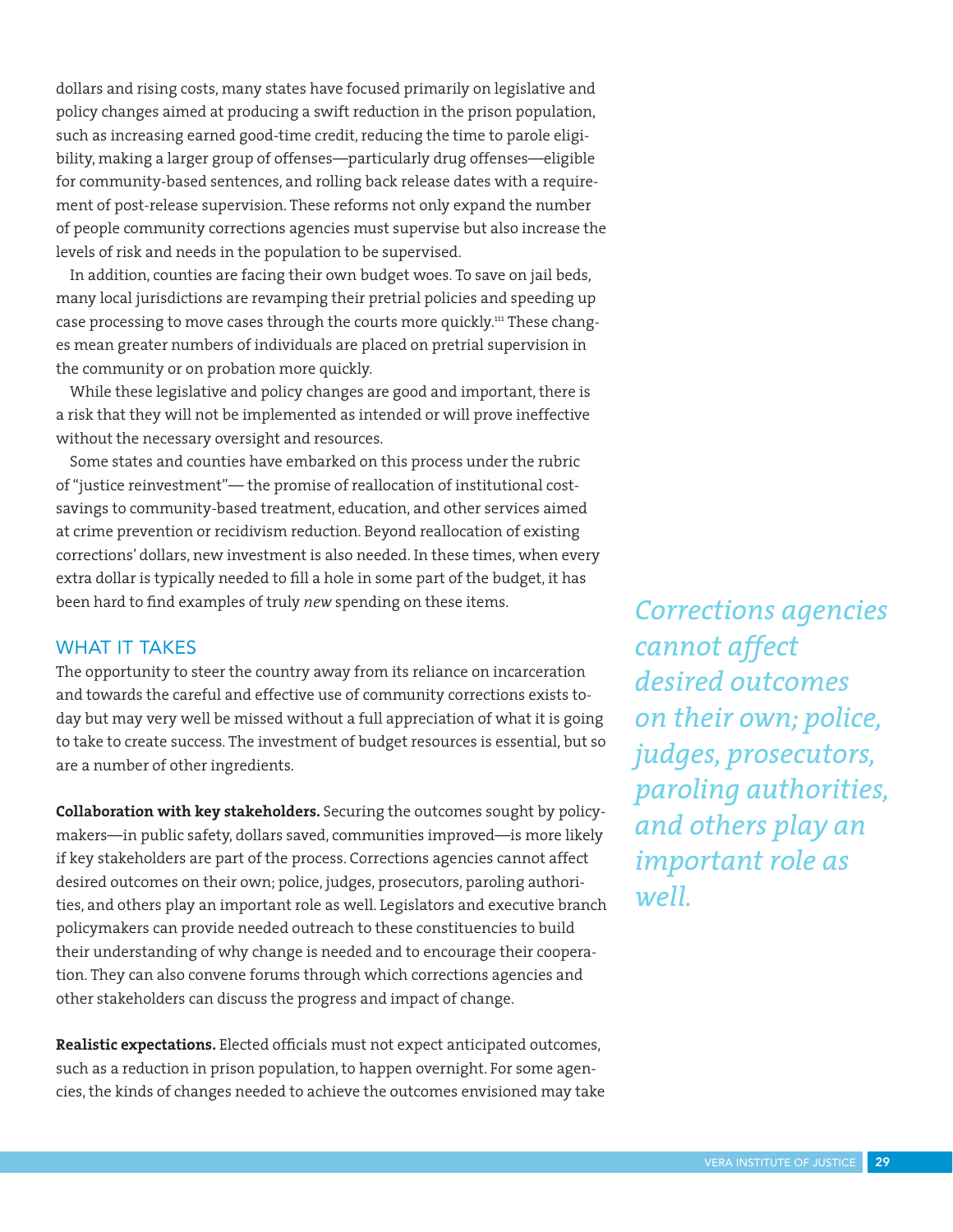dollars and rising costs, many states have focused primarily on legislative and policy changes aimed at producing a swift reduction in the prison population, such as increasing earned good-time credit, reducing the time to parole eligibility, making a larger group of offenses—particularly drug offenses—eligible for community-based sentences, and rolling back release dates with a requirement of post-release supervision. These reforms not only expand the number of people community corrections agencies must supervise but also increase the levels of risk and needs in the population to be supervised.

In addition, counties are facing their own budget woes. To save on jail beds, many local jurisdictions are revamping their pretrial policies and speeding up case processing to move cases through the courts more quickly.<sup>111</sup> These changes mean greater numbers of individuals are placed on pretrial supervision in the community or on probation more quickly.

While these legislative and policy changes are good and important, there is a risk that they will not be implemented as intended or will prove ineffective without the necessary oversight and resources.

Some states and counties have embarked on this process under the rubric of "justice reinvestment"— the promise of reallocation of institutional costsavings to community-based treatment, education, and other services aimed at crime prevention or recidivism reduction. Beyond reallocation of existing corrections' dollars, new investment is also needed. In these times, when every extra dollar is typically needed to fill a hole in some part of the budget, it has been hard to find examples of truly *new* spending on these items.

#### WHAT IT TAKES

The opportunity to steer the country away from its reliance on incarceration and towards the careful and effective use of community corrections exists today but may very well be missed without a full appreciation of what it is going to take to create success. The investment of budget resources is essential, but so are a number of other ingredients.

**Collaboration with key stakeholders.** Securing the outcomes sought by policymakers—in public safety, dollars saved, communities improved—is more likely if key stakeholders are part of the process. Corrections agencies cannot affect desired outcomes on their own; police, judges, prosecutors, paroling authorities, and others play an important role as well. Legislators and executive branch policymakers can provide needed outreach to these constituencies to build their understanding of why change is needed and to encourage their cooperation. They can also convene forums through which corrections agencies and other stakeholders can discuss the progress and impact of change.

**Realistic expectations.** Elected officials must not expect anticipated outcomes, such as a reduction in prison population, to happen overnight. For some agencies, the kinds of changes needed to achieve the outcomes envisioned may take

*Corrections agencies cannot affect desired outcomes on their own; police, judges, prosecutors, paroling authorities, and others play an important role as well.*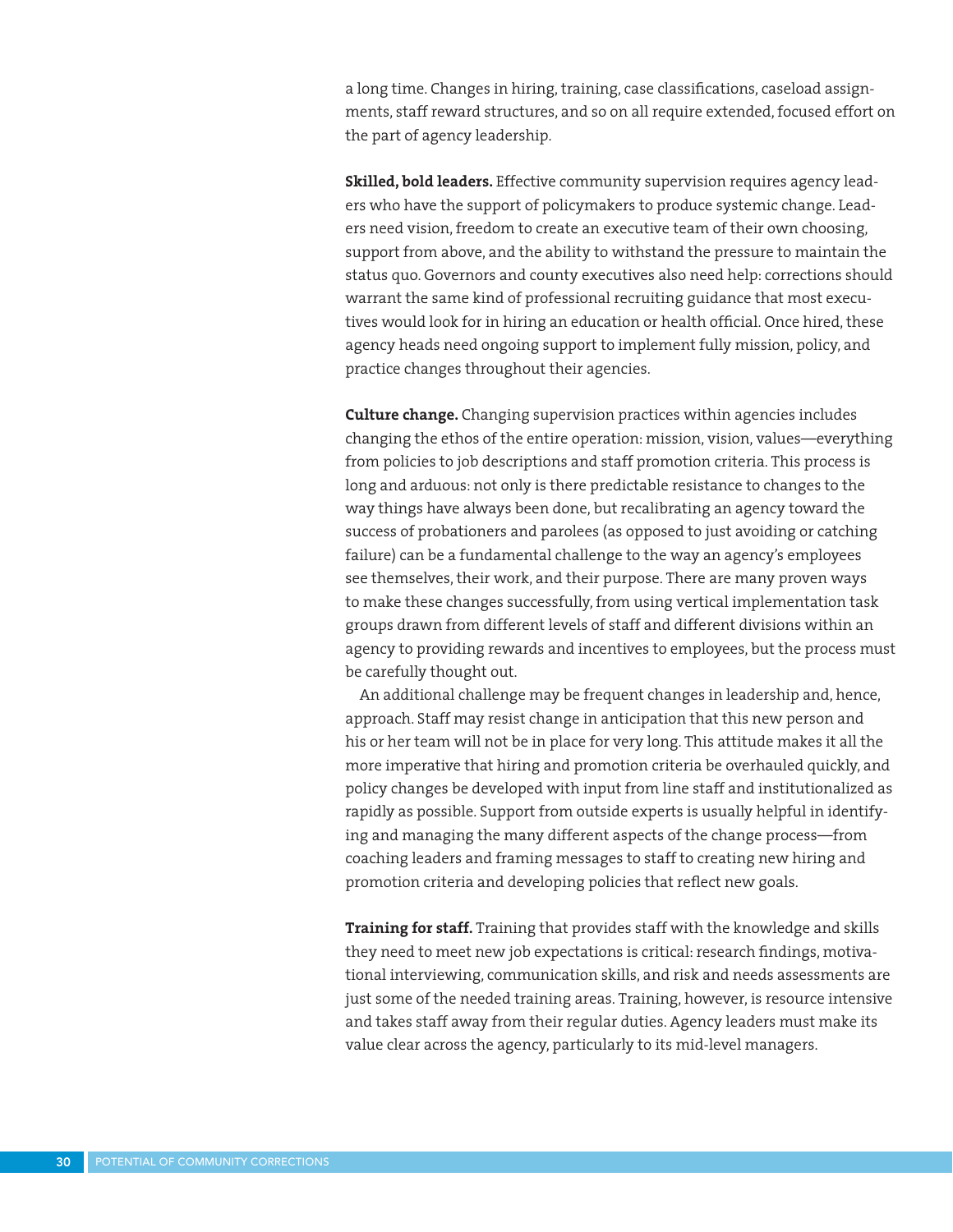a long time. Changes in hiring, training, case classifications, caseload assignments, staff reward structures, and so on all require extended, focused effort on the part of agency leadership.

**Skilled, bold leaders.** Effective community supervision requires agency leaders who have the support of policymakers to produce systemic change. Leaders need vision, freedom to create an executive team of their own choosing, support from above, and the ability to withstand the pressure to maintain the status quo. Governors and county executives also need help: corrections should warrant the same kind of professional recruiting guidance that most executives would look for in hiring an education or health official. Once hired, these agency heads need ongoing support to implement fully mission, policy, and practice changes throughout their agencies.

**Culture change.** Changing supervision practices within agencies includes changing the ethos of the entire operation: mission, vision, values—everything from policies to job descriptions and staff promotion criteria. This process is long and arduous: not only is there predictable resistance to changes to the way things have always been done, but recalibrating an agency toward the success of probationers and parolees (as opposed to just avoiding or catching failure) can be a fundamental challenge to the way an agency's employees see themselves, their work, and their purpose. There are many proven ways to make these changes successfully, from using vertical implementation task groups drawn from different levels of staff and different divisions within an agency to providing rewards and incentives to employees, but the process must be carefully thought out.

An additional challenge may be frequent changes in leadership and, hence, approach. Staff may resist change in anticipation that this new person and his or her team will not be in place for very long. This attitude makes it all the more imperative that hiring and promotion criteria be overhauled quickly, and policy changes be developed with input from line staff and institutionalized as rapidly as possible. Support from outside experts is usually helpful in identifying and managing the many different aspects of the change process—from coaching leaders and framing messages to staff to creating new hiring and promotion criteria and developing policies that reflect new goals.

**Training for staff.** Training that provides staff with the knowledge and skills they need to meet new job expectations is critical: research findings, motivational interviewing, communication skills, and risk and needs assessments are just some of the needed training areas. Training, however, is resource intensive and takes staff away from their regular duties. Agency leaders must make its value clear across the agency, particularly to its mid-level managers.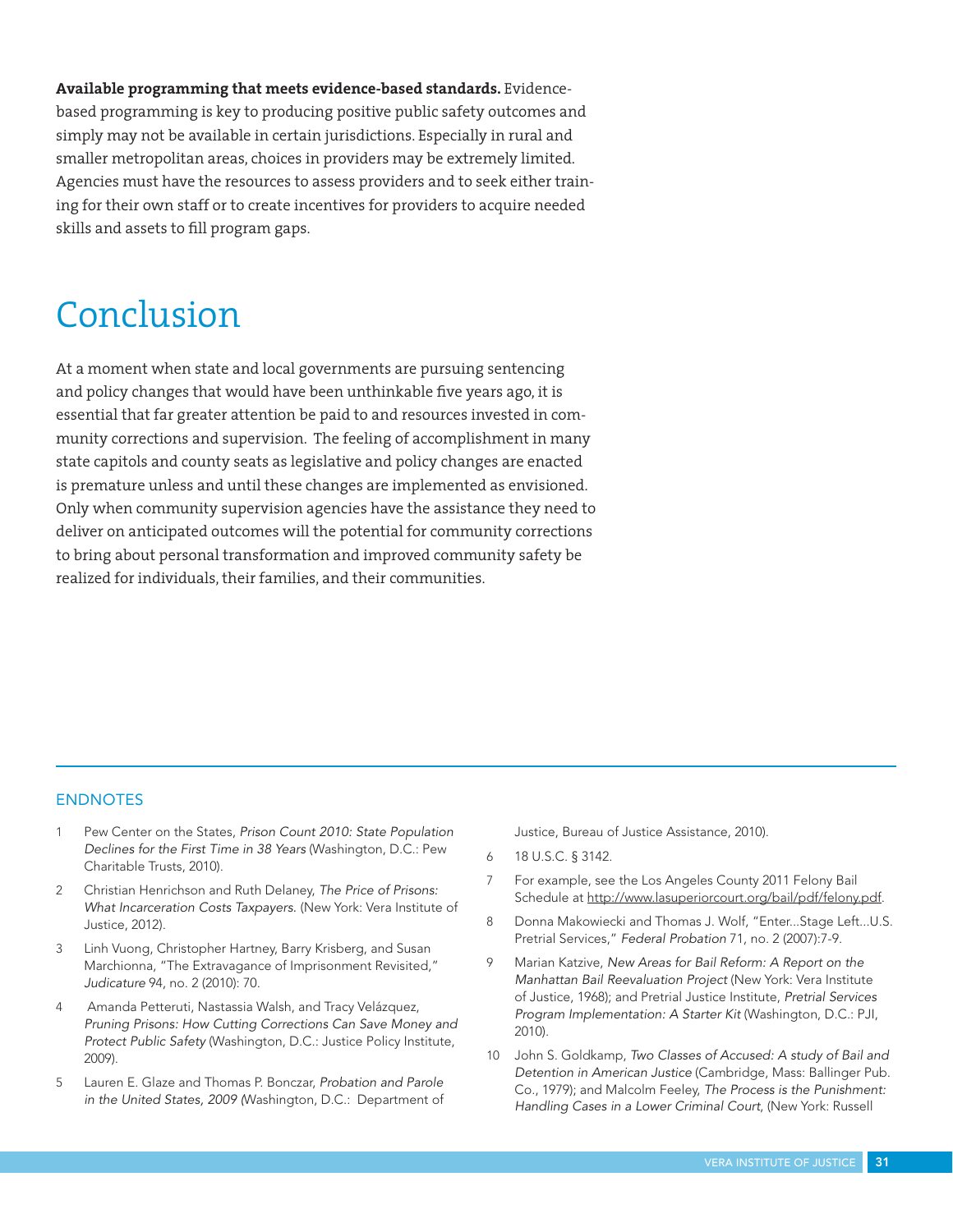**Available programming that meets evidence-based standards.** Evidencebased programming is key to producing positive public safety outcomes and simply may not be available in certain jurisdictions. Especially in rural and smaller metropolitan areas, choices in providers may be extremely limited. Agencies must have the resources to assess providers and to seek either training for their own staff or to create incentives for providers to acquire needed skills and assets to fill program gaps.

### Conclusion

At a moment when state and local governments are pursuing sentencing and policy changes that would have been unthinkable five years ago, it is essential that far greater attention be paid to and resources invested in community corrections and supervision. The feeling of accomplishment in many state capitols and county seats as legislative and policy changes are enacted is premature unless and until these changes are implemented as envisioned. Only when community supervision agencies have the assistance they need to deliver on anticipated outcomes will the potential for community corrections to bring about personal transformation and improved community safety be realized for individuals, their families, and their communities.

#### ENDNOTES

- 1 Pew Center on the States, Prison Count 2010: State Population Declines for the First Time in 38 Years (Washington, D.C.: Pew Charitable Trusts, 2010).
- 2 Christian Henrichson and Ruth Delaney, The Price of Prisons: What Incarceration Costs Taxpayers. (New York: Vera Institute of Justice, 2012).
- 3 Linh Vuong, Christopher Hartney, Barry Krisberg, and Susan Marchionna, "The Extravagance of Imprisonment Revisited," Judicature 94, no. 2 (2010): 70.
- 4 Amanda Petteruti, Nastassia Walsh, and Tracy Velázquez, Pruning Prisons: How Cutting Corrections Can Save Money and Protect Public Safety (Washington, D.C.: Justice Policy Institute, 2009).
- 5 Lauren E. Glaze and Thomas P. Bonczar, Probation and Parole in the United States, 2009 (Washington, D.C.: Department of

Justice, Bureau of Justice Assistance, 2010).

- 6 18 U.S.C. § 3142.
- For example, see the Los Angeles County 2011 Felony Bail Schedule at http://www.lasuperiorcourt.org/bail/pdf/felony.pdf.
- 8 Donna Makowiecki and Thomas J. Wolf, "Enter...Stage Left...U.S. Pretrial Services," Federal Probation 71, no. 2 (2007):7-9.
- 9 Marian Katzive, New Areas for Bail Reform: A Report on the Manhattan Bail Reevaluation Project (New York: Vera Institute of Justice, 1968); and Pretrial Justice Institute, Pretrial Services Program Implementation: A Starter Kit (Washington, D.C.: PJI, 2010).
- 10 John S. Goldkamp, Two Classes of Accused: A study of Bail and Detention in American Justice (Cambridge, Mass: Ballinger Pub. Co., 1979); and Malcolm Feeley, The Process is the Punishment: Handling Cases in a Lower Criminal Court, (New York: Russell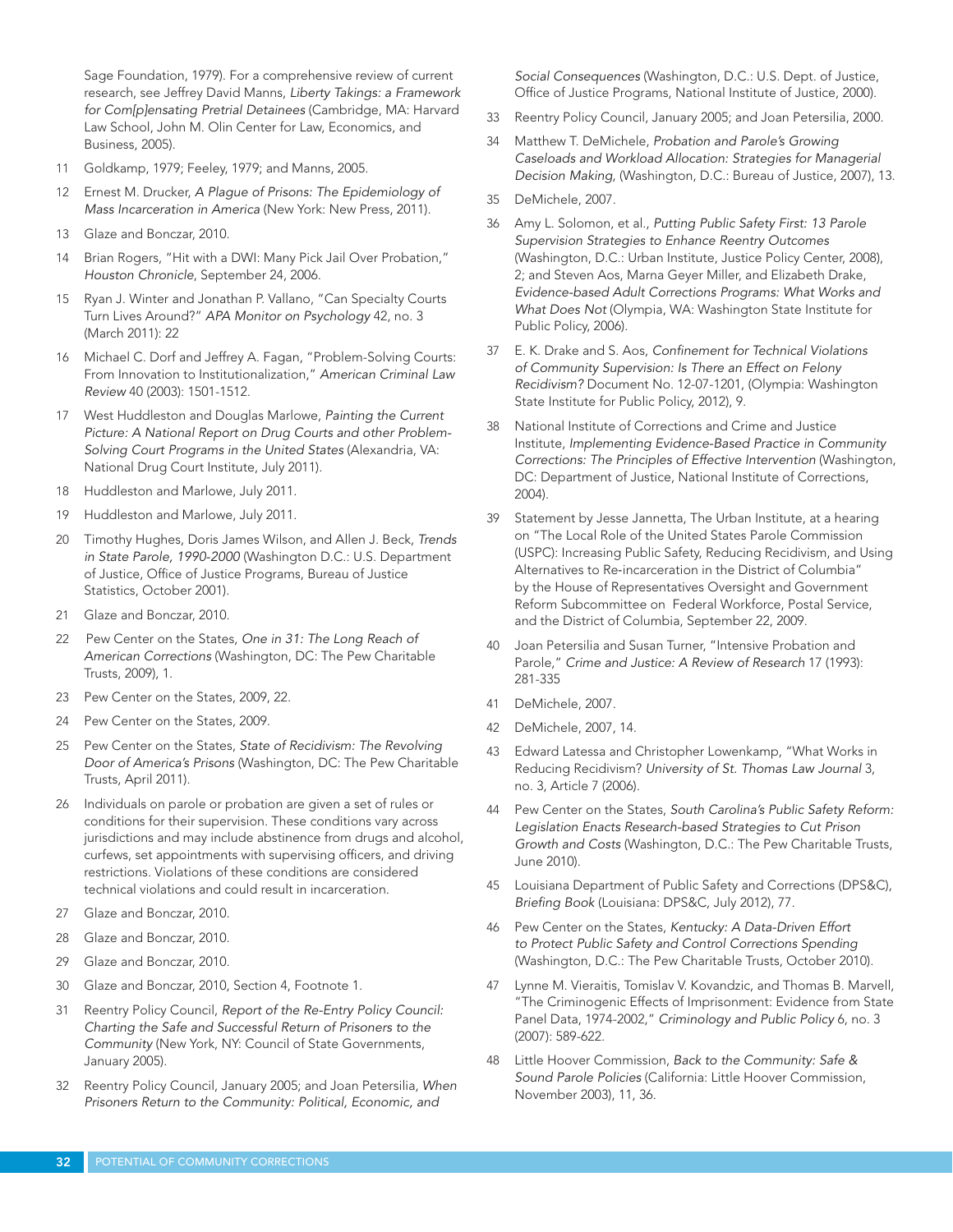Sage Foundation, 1979). For a comprehensive review of current research, see Jeffrey David Manns, Liberty Takings: a Framework for Com[p]ensating Pretrial Detainees (Cambridge, MA: Harvard Law School, John M. Olin Center for Law, Economics, and Business, 2005).

- 11 Goldkamp, 1979; Feeley, 1979; and Manns, 2005.
- 12 Ernest M. Drucker, A Plague of Prisons: The Epidemiology of Mass Incarceration in America (New York: New Press, 2011).
- 13 Glaze and Bonczar, 2010.
- 14 Brian Rogers, "Hit with a DWI: Many Pick Jail Over Probation," Houston Chronicle, September 24, 2006.
- 15 Ryan J. Winter and Jonathan P. Vallano, "Can Specialty Courts Turn Lives Around?" APA Monitor on Psychology 42, no. 3 (March 2011): 22
- 16 Michael C. Dorf and Jeffrey A. Fagan, "Problem-Solving Courts: From Innovation to Institutionalization," American Criminal Law Review 40 (2003): 1501-1512.
- 17 West Huddleston and Douglas Marlowe, Painting the Current Picture: A National Report on Drug Courts and other Problem-Solving Court Programs in the United States (Alexandria, VA: National Drug Court Institute, July 2011).
- 18 Huddleston and Marlowe, July 2011.
- 19 Huddleston and Marlowe, July 2011.
- 20 Timothy Hughes, Doris James Wilson, and Allen J. Beck, Trends in State Parole, 1990-2000 (Washington D.C.: U.S. Department of Justice, Office of Justice Programs, Bureau of Justice Statistics, October 2001).
- 21 Glaze and Bonczar, 2010.
- 22 Pew Center on the States, One in 31: The Long Reach of American Corrections (Washington, DC: The Pew Charitable Trusts, 2009), 1.
- 23 Pew Center on the States, 2009, 22.
- 24 Pew Center on the States, 2009.
- 25 Pew Center on the States, State of Recidivism: The Revolving Door of America's Prisons (Washington, DC: The Pew Charitable Trusts, April 2011).
- 26 Individuals on parole or probation are given a set of rules or conditions for their supervision. These conditions vary across jurisdictions and may include abstinence from drugs and alcohol, curfews, set appointments with supervising officers, and driving restrictions. Violations of these conditions are considered technical violations and could result in incarceration.
- 27 Glaze and Bonczar, 2010.
- 28 Glaze and Bonczar, 2010.
- 29 Glaze and Bonczar, 2010.
- 30 Glaze and Bonczar, 2010, Section 4, Footnote 1.
- 31 Reentry Policy Council, Report of the Re-Entry Policy Council: Charting the Safe and Successful Return of Prisoners to the Community (New York, NY: Council of State Governments, January 2005).
- 32 Reentry Policy Council, January 2005; and Joan Petersilia, When Prisoners Return to the Community: Political, Economic, and

Social Consequences (Washington, D.C.: U.S. Dept. of Justice, Office of Justice Programs, National Institute of Justice, 2000).

- 33 Reentry Policy Council, January 2005; and Joan Petersilia, 2000.
- 34 Matthew T. DeMichele, Probation and Parole's Growing Caseloads and Workload Allocation: Strategies for Managerial Decision Making, (Washington, D.C.: Bureau of Justice, 2007), 13.
- 35 DeMichele, 2007.
- 36 Amy L. Solomon, et al., Putting Public Safety First: 13 Parole Supervision Strategies to Enhance Reentry Outcomes (Washington, D.C.: Urban Institute, Justice Policy Center, 2008), 2; and Steven Aos, Marna Geyer Miller, and Elizabeth Drake, Evidence-based Adult Corrections Programs: What Works and What Does Not (Olympia, WA: Washington State Institute for Public Policy, 2006).
- 37 E. K. Drake and S. Aos, Confinement for Technical Violations of Community Supervision: Is There an Effect on Felony Recidivism? Document No. 12-07-1201, (Olympia: Washington State Institute for Public Policy, 2012), 9.
- 38 National Institute of Corrections and Crime and Justice Institute, Implementing Evidence-Based Practice in Community Corrections: The Principles of Effective Intervention (Washington, DC: Department of Justice, National Institute of Corrections, 2004).
- 39 Statement by Jesse Jannetta, The Urban Institute, at a hearing on "The Local Role of the United States Parole Commission (USPC): Increasing Public Safety, Reducing Recidivism, and Using Alternatives to Re-incarceration in the District of Columbia" by the House of Representatives Oversight and Government Reform Subcommittee on Federal Workforce, Postal Service, and the District of Columbia, September 22, 2009.
- 40 Joan Petersilia and Susan Turner, "Intensive Probation and Parole," Crime and Justice: A Review of Research 17 (1993): 281-335
- 41 DeMichele, 2007.
- 42 DeMichele, 2007, 14.
- 43 Edward Latessa and Christopher Lowenkamp, "What Works in Reducing Recidivism? University of St. Thomas Law Journal 3, no. 3, Article 7 (2006).
- Pew Center on the States, South Carolina's Public Safety Reform: Legislation Enacts Research-based Strategies to Cut Prison Growth and Costs (Washington, D.C.: The Pew Charitable Trusts, June 2010).
- 45 Louisiana Department of Public Safety and Corrections (DPS&C), Briefing Book (Louisiana: DPS&C, July 2012), 77.
- 46 Pew Center on the States, Kentucky: A Data-Driven Effort to Protect Public Safety and Control Corrections Spending (Washington, D.C.: The Pew Charitable Trusts, October 2010).
- 47 Lynne M. Vieraitis, Tomislav V. Kovandzic, and Thomas B. Marvell, "The Criminogenic Effects of Imprisonment: Evidence from State Panel Data, 1974-2002," Criminology and Public Policy 6, no. 3 (2007): 589-622.
- 48 Little Hoover Commission, Back to the Community: Safe & Sound Parole Policies (California: Little Hoover Commission, November 2003), 11, 36.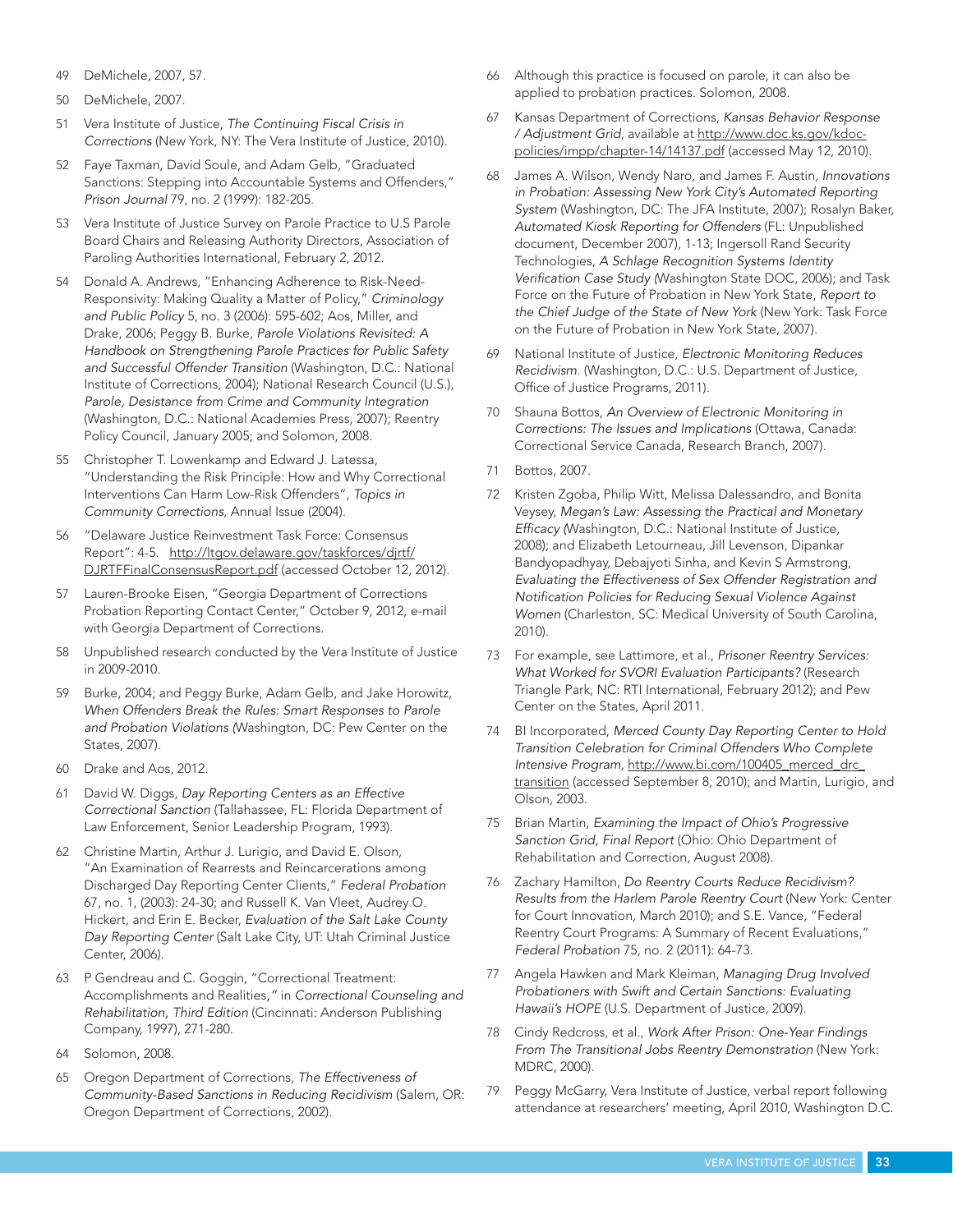- 49 DeMichele, 2007, 57.
- 50 DeMichele, 2007.
- 51 Vera Institute of Justice, The Continuing Fiscal Crisis in Corrections (New York, NY: The Vera Institute of Justice, 2010).
- 52 Faye Taxman, David Soule, and Adam Gelb, "Graduated Sanctions: Stepping into Accountable Systems and Offenders," Prison Journal 79, no. 2 (1999): 182-205.
- 53 Vera Institute of Justice Survey on Parole Practice to U.S Parole Board Chairs and Releasing Authority Directors, Association of Paroling Authorities International, February 2, 2012.
- 54 Donald A. Andrews, "Enhancing Adherence to Risk-Need-Responsivity: Making Quality a Matter of Policy," Criminology and Public Policy 5, no. 3 (2006): 595-602; Aos, Miller, and Drake, 2006; Peggy B. Burke, Parole Violations Revisited: A Handbook on Strengthening Parole Practices for Public Safety and Successful Offender Transition (Washington, D.C.: National Institute of Corrections, 2004); National Research Council (U.S.), Parole, Desistance from Crime and Community Integration (Washington, D.C.: National Academies Press, 2007); Reentry Policy Council, January 2005; and Solomon, 2008.
- 55 Christopher T. Lowenkamp and Edward J. Latessa, "Understanding the Risk Principle: How and Why Correctional Interventions Can Harm Low-Risk Offenders", Topics in Community Corrections, Annual Issue (2004).
- 56 "Delaware Justice Reinvestment Task Force: Consensus Report": 4-5. http://ltgov.delaware.gov/taskforces/djrtf/ DJRTFFinalConsensusReport.pdf (accessed October 12, 2012).
- 57 Lauren-Brooke Eisen, "Georgia Department of Corrections Probation Reporting Contact Center," October 9, 2012, e-mail with Georgia Department of Corrections.
- 58 Unpublished research conducted by the Vera Institute of Justice in 2009-2010.
- 59 Burke, 2004; and Peggy Burke, Adam Gelb, and Jake Horowitz, When Offenders Break the Rules: Smart Responses to Parole and Probation Violations (Washington, DC: Pew Center on the States, 2007).
- 60 Drake and Aos, 2012.
- 61 David W. Diggs, Day Reporting Centers as an Effective Correctional Sanction (Tallahassee, FL: Florida Department of Law Enforcement, Senior Leadership Program, 1993).
- 62 Christine Martin, Arthur J. Lurigio, and David E. Olson, "An Examination of Rearrests and Reincarcerations among Discharged Day Reporting Center Clients," Federal Probation 67, no. 1, (2003): 24-30; and Russell K. Van Vleet, Audrey O. Hickert, and Erin E. Becker, Evaluation of the Salt Lake County Day Reporting Center (Salt Lake City, UT: Utah Criminal Justice Center, 2006).
- 63 P Gendreau and C. Goggin, "Correctional Treatment: Accomplishments and Realities," in Correctional Counseling and Rehabilitation, Third Edition (Cincinnati: Anderson Publishing Company, 1997), 271-280.
- 64 Solomon, 2008.
- 65 Oregon Department of Corrections, The Effectiveness of Community-Based Sanctions in Reducing Recidivism (Salem, OR: Oregon Department of Corrections, 2002).
- 66 Although this practice is focused on parole, it can also be applied to probation practices. Solomon, 2008.
- 67 Kansas Department of Corrections, Kansas Behavior Response / Adjustment Grid, available at http://www.doc.ks.gov/kdocpolicies/impp/chapter-14/14137.pdf (accessed May 12, 2010).
- 68 James A. Wilson, Wendy Naro, and James F. Austin, Innovations in Probation: Assessing New York City's Automated Reporting System (Washington, DC: The JFA Institute, 2007); Rosalyn Baker, Automated Kiosk Reporting for Offenders (FL: Unpublished document, December 2007), 1-13; Ingersoll Rand Security Technologies, A Schlage Recognition Systems Identity Verification Case Study (Washington State DOC, 2006); and Task Force on the Future of Probation in New York State, Report to the Chief Judge of the State of New York (New York: Task Force on the Future of Probation in New York State, 2007).
- National Institute of Justice, Electronic Monitoring Reduces Recidivism. (Washington, D.C.: U.S. Department of Justice, Office of Justice Programs, 2011).
- 70 Shauna Bottos, An Overview of Electronic Monitoring in Corrections: The Issues and Implications (Ottawa, Canada: Correctional Service Canada, Research Branch, 2007).
- 71 Bottos, 2007.
- 72 Kristen Zgoba, Philip Witt, Melissa Dalessandro, and Bonita Veysey, Megan's Law: Assessing the Practical and Monetary Efficacy (Washington, D.C.: National Institute of Justice, 2008); and Elizabeth Letourneau, Jill Levenson, Dipankar Bandyopadhyay, Debajyoti Sinha, and Kevin S Armstrong, Evaluating the Effectiveness of Sex Offender Registration and Notification Policies for Reducing Sexual Violence Against Women (Charleston, SC: Medical University of South Carolina, 2010).
- 73 For example, see Lattimore, et al., Prisoner Reentry Services: What Worked for SVORI Evaluation Participants? (Research Triangle Park, NC: RTI International, February 2012); and Pew Center on the States, April 2011.
- 74 BI Incorporated, Merced County Day Reporting Center to Hold Transition Celebration for Criminal Offenders Who Complete Intensive Program, http://www.bi.com/100405\_merced\_drc\_ transition (accessed September 8, 2010); and Martin, Lurigio, and Olson, 2003.
- 75 Brian Martin, Examining the Impact of Ohio's Progressive Sanction Grid, Final Report (Ohio: Ohio Department of Rehabilitation and Correction, August 2008).
- 76 Zachary Hamilton, Do Reentry Courts Reduce Recidivism? Results from the Harlem Parole Reentry Court (New York: Center for Court Innovation, March 2010); and S.E. Vance, "Federal Reentry Court Programs: A Summary of Recent Evaluations," Federal Probation 75, no. 2 (2011): 64-73.
- 77 Angela Hawken and Mark Kleiman, Managing Drug Involved Probationers with Swift and Certain Sanctions: Evaluating Hawaii's HOPE (U.S. Department of Justice, 2009).
- 78 Cindy Redcross, et al., Work After Prison: One-Year Findings From The Transitional Jobs Reentry Demonstration (New York: MDRC, 2000).
- 79 Peggy McGarry, Vera Institute of Justice, verbal report following attendance at researchers' meeting, April 2010, Washington D.C.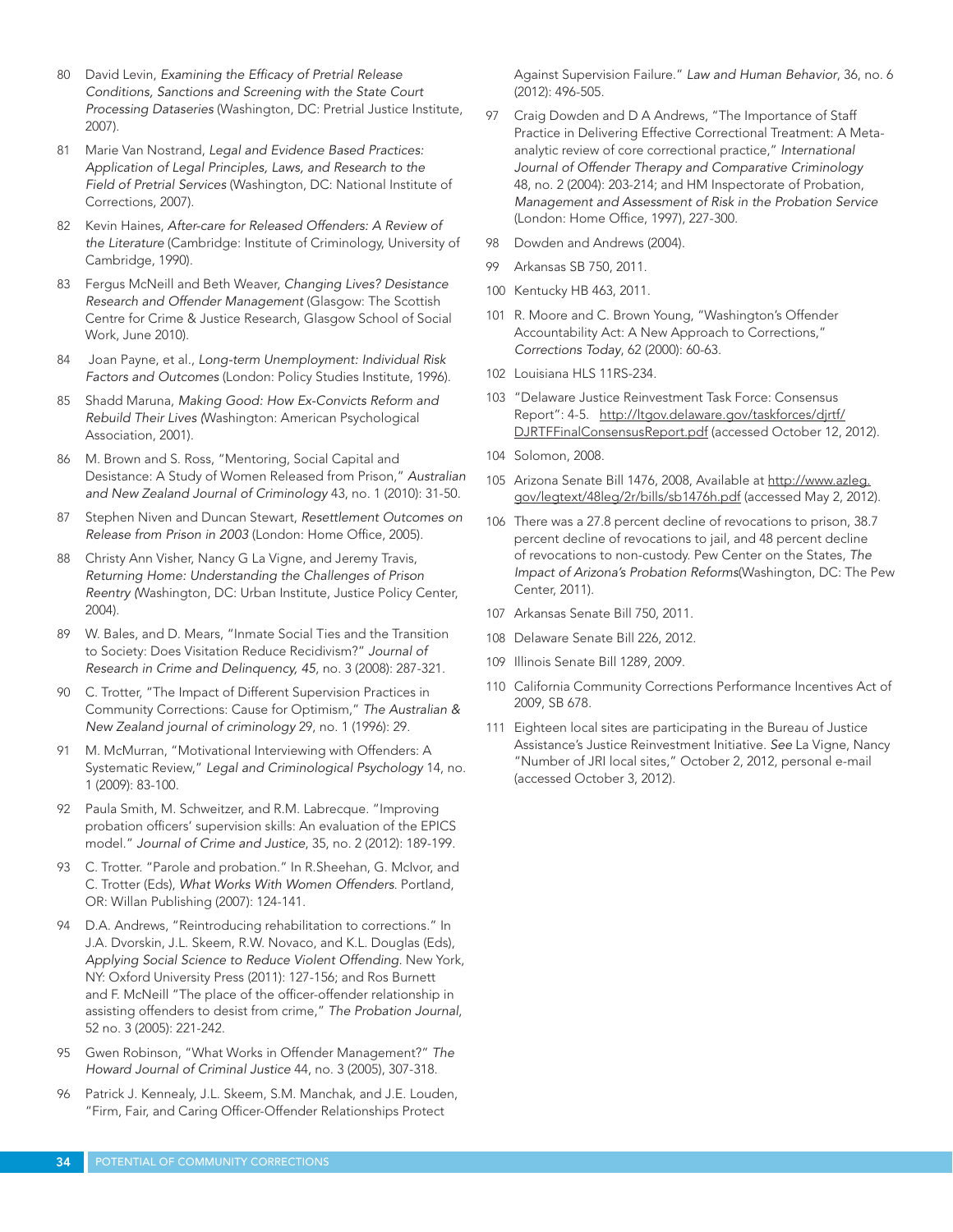- 80 David Levin, Examining the Efficacy of Pretrial Release Conditions, Sanctions and Screening with the State Court Processing Dataseries (Washington, DC: Pretrial Justice Institute, 2007).
- 81 Marie Van Nostrand, Legal and Evidence Based Practices: Application of Legal Principles, Laws, and Research to the Field of Pretrial Services (Washington, DC: National Institute of Corrections, 2007).
- 82 Kevin Haines, After-care for Released Offenders: A Review of the Literature (Cambridge: Institute of Criminology, University of Cambridge, 1990).
- 83 Fergus McNeill and Beth Weaver, Changing Lives? Desistance Research and Offender Management (Glasgow: The Scottish Centre for Crime & Justice Research, Glasgow School of Social Work, June 2010).
- 84 Joan Payne, et al., Long-term Unemployment: Individual Risk Factors and Outcomes (London: Policy Studies Institute, 1996).
- 85 Shadd Maruna, Making Good: How Ex-Convicts Reform and Rebuild Their Lives (Washington: American Psychological Association, 2001).
- 86 M. Brown and S. Ross, "Mentoring, Social Capital and Desistance: A Study of Women Released from Prison," Australian and New Zealand Journal of Criminology 43, no. 1 (2010): 31-50.
- 87 Stephen Niven and Duncan Stewart, Resettlement Outcomes on Release from Prison in 2003 (London: Home Office, 2005).
- 88 Christy Ann Visher, Nancy G La Vigne, and Jeremy Travis, Returning Home: Understanding the Challenges of Prison Reentry (Washington, DC: Urban Institute, Justice Policy Center, 2004).
- 89 W. Bales, and D. Mears, "Inmate Social Ties and the Transition to Society: Does Visitation Reduce Recidivism?" Journal of Research in Crime and Delinquency, 45, no. 3 (2008): 287-321.
- 90 C. Trotter, "The Impact of Different Supervision Practices in Community Corrections: Cause for Optimism," The Australian & New Zealand journal of criminology 29, no. 1 (1996): 29.
- 91 M. McMurran, "Motivational Interviewing with Offenders: A Systematic Review," Legal and Criminological Psychology 14, no. 1 (2009): 83-100.
- Paula Smith, M. Schweitzer, and R.M. Labrecque. "Improving probation officers' supervision skills: An evaluation of the EPICS model." Journal of Crime and Justice, 35, no. 2 (2012): 189-199.
- 93 C. Trotter. "Parole and probation." In R. Sheehan, G. McIvor, and C. Trotter (Eds), What Works With Women Offenders. Portland, OR: Willan Publishing (2007): 124-141.
- 94 D.A. Andrews, "Reintroducing rehabilitation to corrections." In J.A. Dvorskin, J.L. Skeem, R.W. Novaco, and K.L. Douglas (Eds), Applying Social Science to Reduce Violent Offending. New York, NY: Oxford University Press (2011): 127-156; and Ros Burnett and F. McNeill "The place of the officer-offender relationship in assisting offenders to desist from crime," The Probation Journal, 52 no. 3 (2005): 221-242.
- 95 Gwen Robinson, "What Works in Offender Management?" The Howard Journal of Criminal Justice 44, no. 3 (2005), 307-318.
- 96 Patrick J. Kennealy, J.L. Skeem, S.M. Manchak, and J.E. Louden, "Firm, Fair, and Caring Officer-Offender Relationships Protect

Against Supervision Failure." Law and Human Behavior, 36, no. 6 (2012): 496-505.

- 97 Craig Dowden and D A Andrews, "The Importance of Staff Practice in Delivering Effective Correctional Treatment: A Metaanalytic review of core correctional practice," International Journal of Offender Therapy and Comparative Criminology 48, no. 2 (2004): 203-214; and HM Inspectorate of Probation, Management and Assessment of Risk in the Probation Service (London: Home Office, 1997), 227-300.
- 98 Dowden and Andrews (2004).
- 99 Arkansas SB 750, 2011.
- 100 Kentucky HB 463, 2011.
- 101 R. Moore and C. Brown Young, "Washington's Offender Accountability Act: A New Approach to Corrections," Corrections Today, 62 (2000): 60-63.
- 102 Louisiana HLS 11RS-234.
- 103 "Delaware Justice Reinvestment Task Force: Consensus Report": 4-5. http://ltgov.delaware.gov/taskforces/djrtf/ DJRTFFinalConsensusReport.pdf (accessed October 12, 2012).
- 104 Solomon, 2008.
- 105 Arizona Senate Bill 1476, 2008, Available at http://www.azleg. gov/legtext/48leg/2r/bills/sb1476h.pdf (accessed May 2, 2012).
- 106 There was a 27.8 percent decline of revocations to prison, 38.7 percent decline of revocations to jail, and 48 percent decline of revocations to non-custody. Pew Center on the States, The Impact of Arizona's Probation Reforms(Washington, DC: The Pew Center, 2011).
- 107 Arkansas Senate Bill 750, 2011.
- 108 Delaware Senate Bill 226, 2012.
- 109 Illinois Senate Bill 1289, 2009.
- 110 California Community Corrections Performance Incentives Act of 2009, SB 678.
- 111 Eighteen local sites are participating in the Bureau of Justice Assistance's Justice Reinvestment Initiative. See La Vigne, Nancy "Number of JRI local sites," October 2, 2012, personal e-mail (accessed October 3, 2012).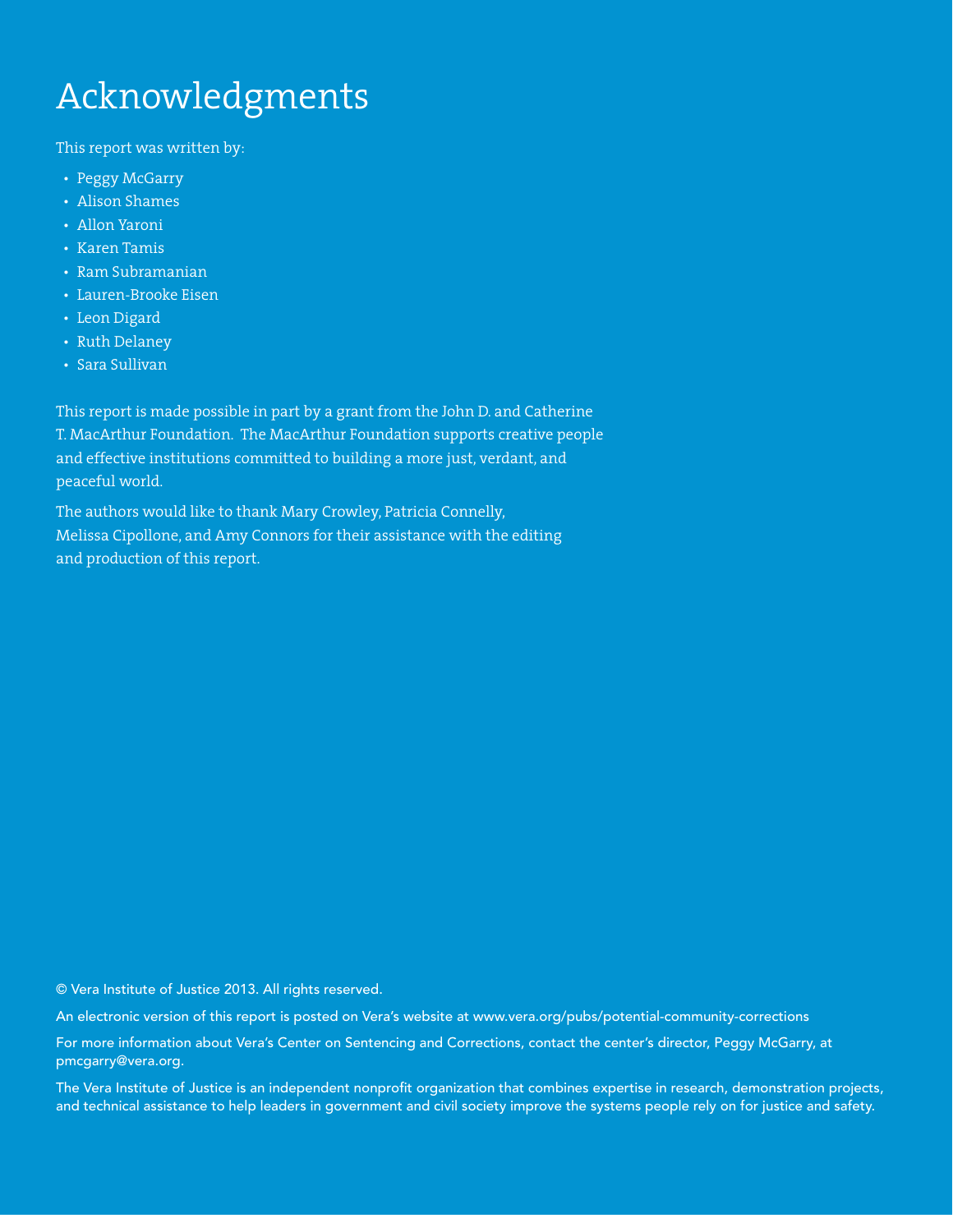# Acknowledgments

This report was written by:

- Peggy McGarry
- Alison Shames
- Allon Yaroni
- Karen Tamis
- Ram Subramanian
- Lauren-Brooke Eisen
- Leon Digard
- Ruth Delaney
- Sara Sullivan

This report is made possible in part by a grant from the John D. and Catherine T. MacArthur Foundation. The MacArthur Foundation supports creative people and effective institutions committed to building a more just, verdant, and peaceful world.

The authors would like to thank Mary Crowley, Patricia Connelly, Melissa Cipollone, and Amy Connors for their assistance with the editing and production of this report.

© Vera Institute of Justice 2013. All rights reserved.

An electronic version of this report is posted on Vera's website at www.vera.org/pubs/potential-community-corrections

For more information about Vera's Center on Sentencing and Corrections, contact the center's director, Peggy McGarry, at pmcgarry@vera.org.

The Vera Institute of Justice is an independent nonprofit organization that combines expertise in research, demonstration projects, and technical assistance to help leaders in government and civil society improve the systems people rely on for justice and safety.